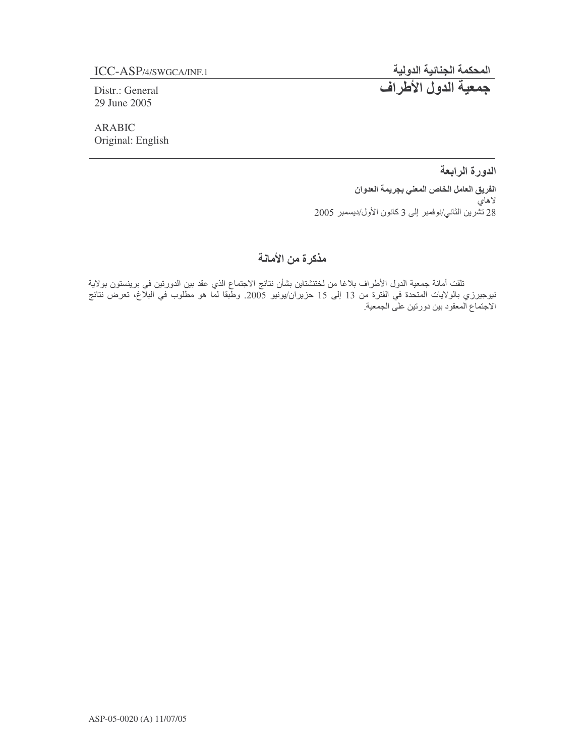Distr.: General 29 June 2005

**ARABIC** Original: English المحكمة الجنائية الدولية<br><mark>جمعية الدول الأطراف</mark>

الدورة الرابعة الفريق العامل الخاص المعني بجريمة العدوان لاهاي 28 تَشْرِين الثاني/نوفمبر إلى 3 كانون الأول/ديسمبر 2005

# مذكرة من الأمانة

تلقت أمانة جمعية الدول الأطراف بلاغا من لختنشتاين بشأن نتائج الاجتماع الذي عقد بين الدورتين في برينستون بولاية<br>نيوجيرزي بالولايات المتحدة في الفترة من 13 إلى 15 حزيران/يونيو 2005. وطبقا لما هو مطلوب في البلاغ، تعرض نتائج الاجتماع المعقود بين دورتين على الجمعية.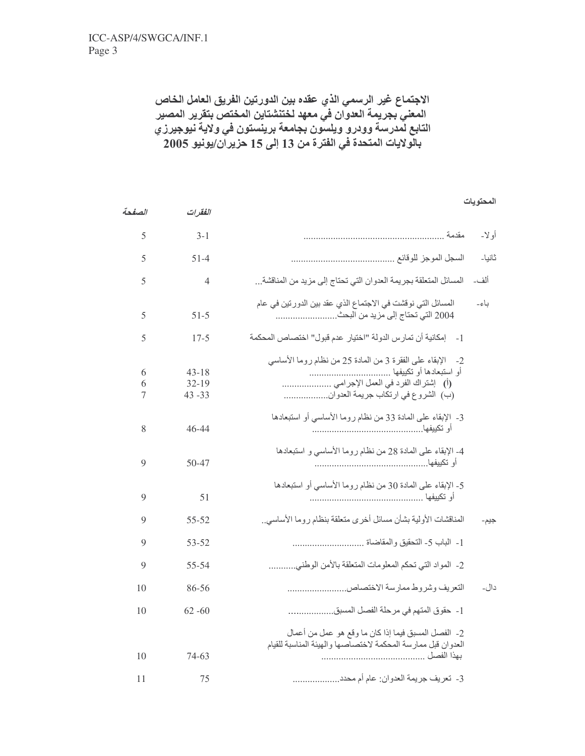الصفحة

الفقرات

الاجتماع غير الرسمي الذي عقده بين الدورتين الفريق العامل الخاص المعنى بجريمة العدوان في معهد لختنشتاين المختص بتقرير المصير التابع لمدرسة وودرو ويلسون بجامعة برينستون في ولاية نيوجيرزي بالْولايات المتحدة في الفترة من 13 إلى 15 حزير أن/يونيو 2005

| o m |
|-----|
|-----|

| أو لا- |                                                                                                                                       | $3 - 1$                             | 5           |
|--------|---------------------------------------------------------------------------------------------------------------------------------------|-------------------------------------|-------------|
| ثانيا۔ |                                                                                                                                       | $51-4$                              | 5           |
| ألف۔   | المسائل المتعلقة بجريمة العدوان التي تحتاج إلى مزيد من المناقشة                                                                       | 4                                   | 5           |
| ياءِ۔  | المسائل التي نوقشت في الاجتماع الذي عقد بين الدور تين في عام                                                                          | $51 - 5$                            | 5           |
|        | 1 -     إمكانية أن تمار س الدولة "اختيار  عدم قبول" اختصـاص المحكمة                                                                   | $17 - 5$                            | 5           |
|        | 2- الإبقاء على الفقرة 3 من المادة 25 من نظام روما الأساسي<br>(أ) إشتراك الفرد في العمل الإجرامي<br>(ب) الشروع في ارتكاب جريمة العدوان | $43 - 18$<br>$32 - 19$<br>$43 - 33$ | 6<br>6<br>7 |
|        | 3- الإبقاء على المادة 33 من نظام روما الأساسي أو استبعادها                                                                            | $46 - 44$                           | 8           |
|        | 4- الإبقاء على المادة 28 من نظام روما الأساسي و استبعادها                                                                             | 50-47                               | 9           |
|        | 5- الإبقاء على المادة 30 من نظام روما الأساسي أو استبعادها                                                                            | 51                                  | 9           |
| جيم-   | المناقشات الأولية بشأن مسائل أخرى متعلقة بنظام روما الأساسى.                                                                          | $55 - 52$                           | 9           |
|        |                                                                                                                                       | 53-52                               | 9           |
|        | 2- المواد التي تحكم المعلومات المتعلقة بالأمن الوطني                                                                                  | 55-54                               | 9           |
| دال۔   | التعريف وشروط ممارسة الاختصاص                                                                                                         | 86-56                               | 10          |
|        | 1- حقوق المتهم في مرحلة الفصل المسبق                                                                                                  | $62 - 60$                           | 10          |
|        | 2- الفصل المسبق فيما إذا كان ما وقع هو عمل من أعمال<br>العدوان قبل ممارسة المحكمة لاختصاصها والهيئة المناسبة للقيام                   | 74-63                               | 10          |
|        | 3- تعريف جريمة العدوان: عام أم محدد                                                                                                   | 75                                  | 11          |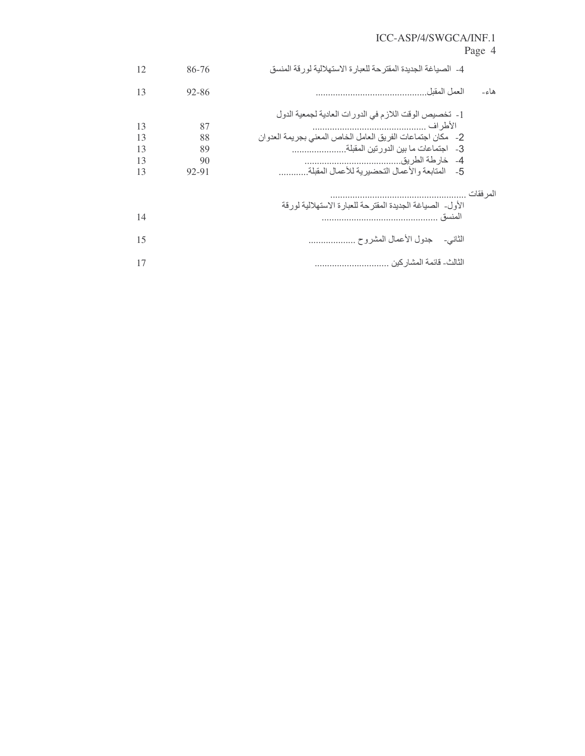# Page 4

|           | 4- الصياغة الجديدة المقترحة للعبارة الاستهلالية لورقة المنسق | 86-76 | 12 |
|-----------|--------------------------------------------------------------|-------|----|
| هاء۔      | العمل المقبل                                                 | 92-86 | 13 |
|           | 1- تخصيص الوقت اللازم في الدورات العادية لجمعية الدول        |       |    |
|           |                                                              | 87    | 13 |
|           | 2- مكان اجتماعات الفريق العامل الخاص المعنى بجريمة العدوان   | 88    | 13 |
|           |                                                              | 89    | 13 |
|           |                                                              | 90    | 13 |
|           | 5-     المتابعة والأعمال التحضيرية للأعمال المقبلة           | 92-91 | 13 |
| المر فقات |                                                              |       |    |
|           | الأول- الصياغة الجديدة المقترحة للعبارة الاستهلالية لورقة    |       |    |
|           | المنسق                                                       |       | 14 |
|           | الثاني- حدول الأعمال المشروح                                 |       | 15 |
|           | الثالث- قائمة المشار كين .                                   |       | 17 |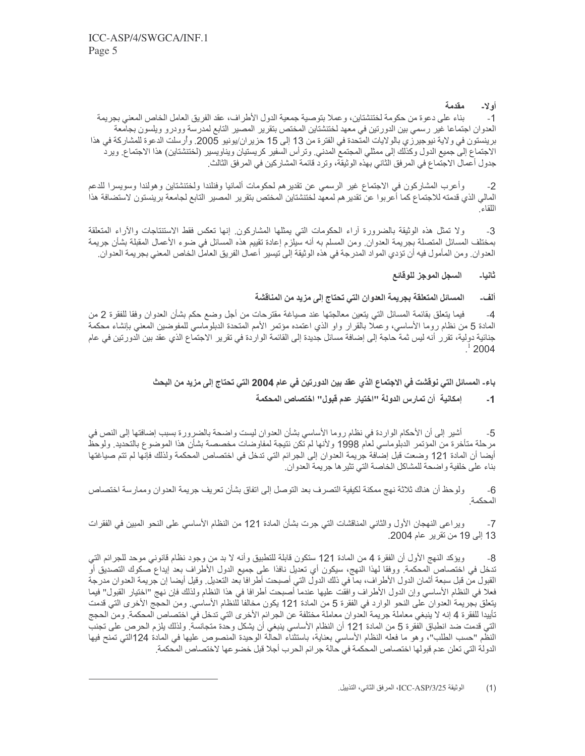#### مقدمة أولا-

بناء على دعوة من حكومة لختنشتاين، وعملا بتوصية جمعية الدول الأطراف، عقد الفريق العامل الخاص المعنى بجريمة  $-1$ العدوان اجتماعا غير رسمي بين الدورتين في معهد لختنشتاين المختص بتقرير المصبر التابع لمدرسة وودرو ويلسون بجامعة برينستون في ولاية نيوجيرزي بالولايات المتحدة في الفترة من 13 إلى 15 حزير ان/يونيو 2005. وأرسلت الدعوة للمشاركة في هذا الاجتماع إلى جميع الدول وكذلك إلى ممثلي المجتمع المدني ٍ وترأس السفير كريستيان ويناويسير (لختنشتاين) هذا الاجتماع ٍ ويرد جدول أعمال الاجتماع في المر فق الثاني بهذه الوثيقة، وتر د قائمة المشار كين في المر فق الثالث.

وأعرب المشاركون في الاجتماع غير الرسمي عن تقديرهم لحكومات ألمانيا وفنلندا ولختنشتاين وهولندا وسويسرا للدعم  $-2$ المالي الذي قدمته للاجتماع كما أعربوا عن تقدير هم لمعهد لختنشتاين المختص بتقرير المصبر التابع لجامعة برينستون لاستضافة هذا اللقاء

ولا تمثَّل هذه الوثيقة بالضرورة أراء الحكومات التي يمثلها المشاركون إنها تعكس فقط الاستنتاجات والأراء المتعلقة  $-3$ بمختلف المسائل المتصلة بجريمة العدوان ٍ ومن المسلم به أنه سيلزم إعادة تقييم هذه المسائل في ضوء الأعمال المقبلة بشأن جريمة العدوان. ومن المأمول فيه أن تؤدي المواد المدرجة في هذه الوثيقة إلى تيسير أعمال الفريق العامل الخاص المعنى بجريمة العدوان.

#### السجل الموجز للوقائع ثانيا۔

#### المسائل المتعلقة بجريمة العدوان التي تحتاج إلى مزيد من المناقشة ألف۔

فيما ينعلق بقائمة المسائل التي يتعين معالجتها عند صياغة مقترحات من أجل وضع حكم بشأن العدوان وفقا للفقرة 2 من  $-4$ المادة 5 من نظام روما الأساسي، وعملا بالقرار واو الذي اعتمده مؤتمر الأمم المتحدة الدبلوماسي للمفوضين المعنى بإنشاء محكمة جنائية دولية، تقرر أنه ليس ثمة حاجة إلى إضافة مسائل جديدة إلى القائمة الواردة في تقرير الاجتماع الذي عقد بين الدورتين في عام 2004

# باء- المسائل التي نوفَشت في الاجتماع الذي عقد بين الدورتين في عام 2004 التي تحتاج إلى مزيد من البحث

#### إمكانية أن تمارس الدولة "اختيار عدم قبول" اختصاص المحكمة  $-1$

أشير إلى أن الأحكام الواردة في نظام روما الأساسي بشأن العدوان ليست واضحة بالضرورة بسبب إضافتها إلى النص في -5 مرحلة متأخرة من المؤتمر الدبلوماسي لعام 1998 ولأنها لم تكن نتيجة لمفاوضات مخصصة بشأن هذا الموضوع بالتحديد ٍ ولوحظ أيضا أن المادة 121 وضعت قبل إضافة جريمة العدوان إلى الجرائم التي تدخل في اختصاص المحكمة ولذلك فإنها لم تتم صياغتها بناء على خلفية واضحة للمشاكل الخاصة التي تثير ها جريمة العدوان.

ولوحظ أن هناك ثلاثة نهج ممكنة لكيفية التصرف بعد التوصل إلى اتفاق بشأن تعريف جريمة العدوان وممارسة اختصاص  $-6$ المحكمة

ويراعي النهجان الأول والثاني المناقشات التي جرت بشأن المادة 121 من النظام الأساسي على النحو المبين في الفقرات  $-7$ 13 إلى 19 من تقرير عام 2004.

ويؤكد النهج الأول أن الفقرة 4 من المادة 121 ستكون قابلة للتطبيق وأنه لا بد من وجود نظام قانوني موحد للجرائم التي تدخل في اختصاص المحكمة<sub>.</sub> ووفقا لهذا النهج، سيكون أي تعديل نافذا على جميع الدول الأطراف بعد إيداع صكوك التصديق أو القبول من قبل سبعة أثمان الدول الأطراف، بما في ذلك الدول التي أصبحت أطرافا بعد التعديل ِ وقيل أيضا إن جريمة العدوان مدرجة فعلا في النظام الأساسي وإن الدول الأطراف وافقت عليها عندما أصبحت أطرافا في هذا النظام ولذلك فإن نهج "اختيار القبول" فيما يتعلَّق بُجريمة العدوان على النحو الوارد في الفقرة 5 من المادة 121 يكون مخالفا للنظام الأساسي. ومن الحجج الأخرى التي قدمت تأييدا للفقرة 4 إنه لا ينبغي معاملة جريمة العدوان معاملة مختلفة عن الجرائم الأخرى التي تدخل في اختصاص المحكمة ِ ومن الحجج التي قدمت ضد انطباق الفقرة 5 من المادة 121 أن النظام الأساسي ينبغي أن يشكل وحدة متجانسة. ولذلك يلزم الحرص على تجنب النظم "حسب الطلب"، وهو ما فعله النظام الأساسي بعناية، باستثناء الحالة الوحيدة المنصوص عليها في المادة 124التي تمنح فيها الدولة التي تعلن عدم قبولها اختصاص المحكمة في حالة جرائم الحرب أجلا قبل خضو عها لاختصاص المحكمة.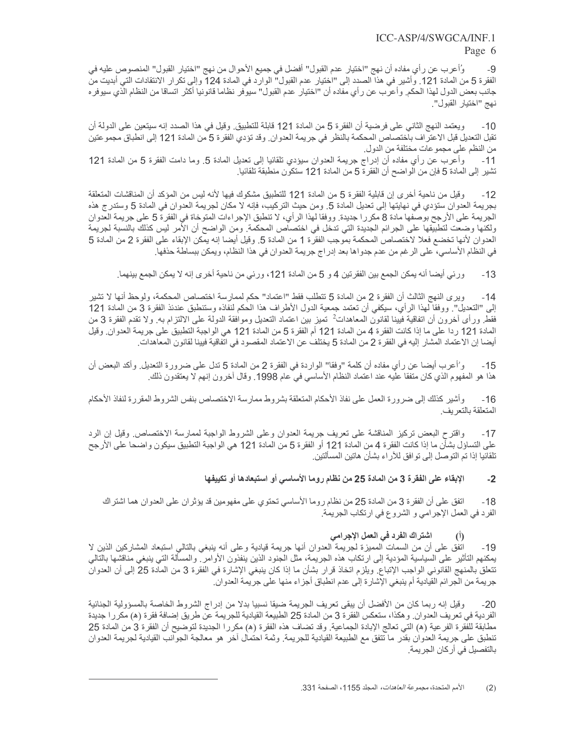### Page 6

وُأعرب عن رأي مفاده أن نهج "اختيار عدم القبول" أفضل في جميع الأحوال من نهج "اختيار القبول" المنصوص عليه في -9 الفقرة 5 من المادة 121. وأشير في هذا الصدد إلى "اختيار عدم القبول" الوارد في المادة 124 وإلى تكرار الانتقادات التي أبديت من جانب بعض الدول لهذا الحكم. وأعرب عن رأي مفاده أن "اختيار عدم القبول" سيوفر نظاما قانونيا أكثر اتساقا من النظام الذي سيوفر ه نهج "اختيار القبول".

ويعتمد النهج الثاني على فرضية أن الفقرة 5 من المادة 121 قابلة للتطبيق. وقيل في هذا الصدد إنه سيتعين على الدولة أن  $-10$ تقبل التعديل قبل الاعتراف باختصاص المحكمة بالنظر في جريمة العدوان وقد تؤدي الفقرة 5 من المادة 121 إلى انطباق مجموعتين من النظم على مجموعات مختلفة من الدول.

وأعرب عن رأي مفاده أن إدراج جريمة العدوان سيؤدي تلقائيا إلى تعديل المادة 5. وما دامت الفقرة 5 من المادة 121  $-11$ تشير إلى المادة 5 فإن من الواضح أن الفقرة 5 من المادة 121 ستكون منطبقة تلقائيا.

وقيل من ناحية أخرى إن قابلية الفقرة 5 من المادة 121 للتطبيق مشكوك فيها لأنه ليس من المؤكد أن المناقشات المتعلقة  $-12$ بجريمة العدوان ستؤدي في نهايتها إلى تعديل المادة 5. ومن حيث التركيب، فإنه لا مكان لجريمة العدوان في المادة 5 وستدرج هذه الجريمة على الأرجح بوصفها مادة 8 مكررا جديدة. ووفقا لهذا الرأي، لا تنطبق الإجراءات المتوخاة في الفقرة 5 على جريمة العدوان ولكنها وضعت لتطبيقها على الجرائم الجديدة التي تدخل في اختصاص المحكمة<sub>.</sub> ومن الواضح أن الأمر ليس كذلك بالنسبة لجريمة العدوان لأنها تخضع فعلا لاختصاص المحكمة بموجب الفقرة 1 من المادة 5. وقيل أيضا إنه يمكن الإبقاء على الفقرة 2 من المادة 5 في النظام الأساسي، على الرغم من عدم جدواها بعد إدراج جريمة العدوان في هذا النظام، ويمكن ببساطة حذفها ِ

ورئي أيضـا أنـه يمكن الـجمع بين الفقرتين 4 و 5 من المـادة 121، ورئي من نـاحية أخرى إنـه لا يمكن الـجمع بينـهما  $-13$ 

وير ي النهج الثالث أن الفقرة 2 من المادة 5 تتطلب فقط "اعتماد" حكم لممارسة اختصـاص المحكمة، ولوحظ أنها لا تشير  $-14$ إلى "التعديل". ووفقا لهذا الرأي، سيكفى أن تعتمد جمعية الدول الأطراف هذا الحكم لنفاذه وستنطبق عندئذ الفقرة 3 من المادة 121 فقط ورأى أخرون أن اتفاقية فيينا لقانون المعاهدات<sup>2</sup> تميز بين اعتماد التعديل وموافقة الدولة على الالتزام به ولا تقدم الفقرة 3 من المادة 121 ردا على ما إذا كانت الفقرة 4 من المادة 121 أم الفقرة 5 من المادة 121 هي الواجبة التطبيق على جريمة العدوان وقيل أيضـا إن الاعتماد المشار إليه في الفقر 2 2 من المادة 5 يختلف عن الاعتماد المقصـود في اتفاقية فيينا لقانون المعاهدات ِ

و'أعرب أيضا عن رأي مفاده أن كلمة "وفقا" الواردة في الفقرة 2 من المادة 5 تدل على ضرورة النعديل ٍ وأكد البعض أن  $-15$ هذا هو المفهوم الذي كان متفقا عليه عند اعتماد النظام الأساسي في عام 1998. وقال أخرون إنهم لا يعتقدون ذلك.

وأشير كذلك إلى ضرورة العمل على نفاذ الأحكام المتعلقة بشروط ممارسة الاختصاص بنفس الشروط المقررة لنفاذ الأحكام -16 المتعلقة بالتعر يف

واقترح البعض تركيز المناقشة على تعريف جريمة العدوان وعلى الشروط الواجبة لممارسة الاختصاص وقيل إن الرد  $-17$ على التساؤل بشأن ما إذا كانت الفقرة 4 من المادة 121 أو الفقرة 5 من المادة 121 هي الواجبة التطبيق سيكون واضحا على الأرجح تلقائيا إذا تم التوصل إلى توافق للأراء بشأن هاتين المسألتين.

#### الإبقاء على الفقرة 3 من المادة 25 من نظام روما الأساسي أو استبعادها أو تكييفها  $-2$

اتفق على أن الفقرة 3 من المادة 25 من نظام روما الأساسي تحتوي على مفهومين قد يؤثر ان على العدوان هما اشتراك  $-18$ الفرد في العمل الإجرامي و الشروع في ارتكاب الجريمة<sub>.</sub>

# اشتراك الفرد في العمل الإجرامي

اتفق على أن من السمات المميزة لجريمة العدوان أنها جريمة قيادية وعلى أنه ينبغي بالتالي استبعاد المشاركين الذين لا -19 يمكنهم الناثير على السياسية المؤدية إلى ارتكاب هذه الجريمة، مثل الجنود الذين ينفذون الأوامر ِ والمسألة التي ينبغي مناقشها بالنالي تتعلَّق بالمنهج القانوني الواجب الإتباع. ويلزم اتخاذ قرار بشأن ما إذا كان ينبغي الإشارة في الفقرة 3 من المادة 25 إلى أن العدوان جريمة من الجر ائم القيادية أم ينبغي الإشارة إلى عدم انطباق أجزاء منها على جريمة العدوان.

وقيل إنه ربما كان من الأفضل أن يبقى تعريف الجريمة ضيقا نسبيا بدلا من إدراج الشروط الخاصة بالمسؤولية الجنائية  $-20$ الفردية في تعريف العدوان. و هكذا، ستعكس الفقر ة 3 من المادة 25 الطبيعة القيادية للجريمة عن طريق إضافة فقرة (ه) مكررا جديدة مطابقة للفقرة الفرعية (ﻫ) التي تعالج الإبادة الجماعية. وقد تضاف هذه الفقرة (ﻫ) مكررا الجديدة لتوضيح أن الفقرة 3 من المادة 25 تنطبق على جريمة العدوان بقدر ما تتفق مع الطبيعة القيادية للجريمة. وثمة احتمال آخر هو معالجة الجوانب القيادية لجريمة العدوان بالنفصيل في أركان الجريمة.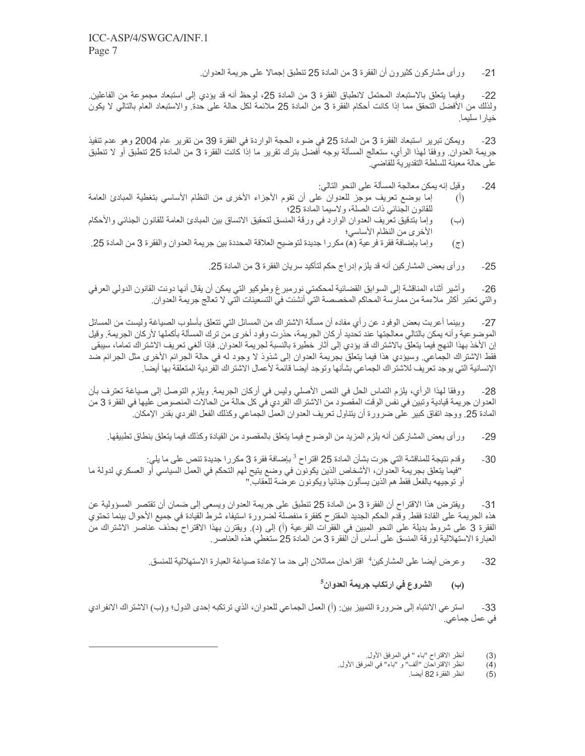ور أي مشاركون كثيرون أن الفقرة 3 من المادة 25 تنطبق إجمالا على جريمة العدوان.  $-21$ 

وفيما يتعلَّق بالاستبعاد المحتمل لانطباق الفقرة 3 من المادة 25، لوحظ أنه قد يؤدي إلى استبعاد مجموعة من الفاعلين  $-22$ ولذلك من الأفضل التحقق مما إذا كانت أحكام الفقرة 3 من المادة 25 ملائمة لكل حالة على حدة. والاستبعاد العام بالتالي لا يكون خيار ا سليما ِ

ويمكن تبرير استبعاد الفقرة 3 من المادة 25 في ضوء الحجة الواردة في الفقرة 39 من تقرير عام 2004 و هو عدم تنفيذ  $-23$ جريمة العدوان ٍ ووفقًا لهذا الرأي، ستعالج المسألة بوجه أفضل بترك تقرير ما إذا كانت الفقرة 3 من المادة 25 تنطبق أو لا تنطبق على حالة معينة للسلطة التقدير ية للقاضي.

- وقيل إنه يمكن معالجة المسألة على النحو التالي:  $-24$
- إما بوضع تعريف موجز للعدوان على أن تقوم الأجزاء الأخرى من النظام الأساسي بتغطية المبادئ العامة  $(\mathfrak{h})$ للقانون الجنائي ذات الصلة، ولاسيما المادة 25؛
- وإما بتدقيق تعريف العدوان الوارد في ورقة المنسق لتحقيق الاتساق بين المبادئ العامة للقانون الجنائي والأحكام  $(\ominus)$ الأخرى من النظام الأساسي؛
- و إما بإضافة فقرة فرعية (ه) مكرر ا جديدة لتوضيح العلاقة المحددة بين جريمة العدوان والفقرة 3 من المادة 25.  $(\overline{c})$

ور أي بعض المشاركين أنه قد يلزم إدر اج حكم لتأكيد سريان الفقر ة 3 من المادة 25.  $-25$ 

وأشير أثناء المناقشة إلى السوابق القضائية لمحكمتي نورمبرغ وطوكيو التي يمكن أن يقال أنها دونت القانون الدولي العرفي  $-26$ والتي تعتبر أكثر ملاءمة من ممارسة المحاكم المخصصة التي أنشئت في التسعينات التي لا تعالج جريمة العدوان.

وبينما أعربت بعض الوفود عن رأي مفاده أن مسألة الاشتراك من المسائل التي تتعلق بأسلوب الصياغة وليست من المسائل  $-27$ الموضوعية وأنه يمكن بالتالي معالجتها عند تحديد أركان الجريمة، حذرت وفود أخرى من ترك المسألة بأكملها لأركان الجريمة<sub>.</sub> وقيل إن الأخذ بهذا النهج فيما يتعلق بالاشتراك قد يؤدي إلى أثار خطيرة بالنسبة لجريمة العدوان. فإذا ألغي تعريف الاشتراك تماما، سيبقى فقط الاشتراك الجماعي ِ وسيؤدي هذا فيما يتعلَّق بجريمة العدوان إلى شذوذ لا وجود له في حالة الجرائم الأخرى مثل الجرائم ضد الإنسانية التي يوجد تعريف للاشتراك الجماعي بشأنها وتوجد أيضا قائمة لأعمال الاشتراك الفردية المتعلقة بها أيضا

ووفقًا لهذا الرأي، يلزم النماس الحل في النص الأصلي وليس في أركان الجريمة. ويلزم النوصل إلى صياغة تعترف بأن  $-28$ العدوان جريمة فيادية وتبين في نفس الوقت المقصود من الاشتراك الفردي في كل حالة من الحالات المنصوص عليها في الفقرة 3 من المادة 25. ووجد اتفاق كبير على ضرورة أن يتناول تعريف العدوان العمل الجماعي وكذلك الفعل الفردي بقدر الإمكان.

- ور أي بعض المشاركين أنه يلزم المزيد من الوضوح فيما يتعلق بالمقصود من القيادة وكذلك فيما يتعلق بنطاق تطبيقها ِ  $-29$
- وقدم نتيجة للمناقشة التي جرت بشأن المادة 25 اقتراح <sup>3</sup> بإضافة فقرة 3 مكررا جديدة تنص على ما يلي:  $-30$ "فيما يتعلَّق بجريمة العدوان، الأشخاص الذين يكونون في وضع يتيح لهم التحكم في العمل السياسي أو العسكري لدولة ما أو توجيهه بالفعل فقط هم الذين يسألون جنائيا ويكونون عرضة للعقاب !"

ويفترض هذا الاقتراح أن الفقرة 3 من المادة 25 نتطبق على جريمة العدوان ويسعى إلى ضمان أن تقتصر المسؤولية عن  $-31$ هذه الجريمة على القادة فقط ِ وقدم الحكم الجديد المقترح كفقرة منفصلة لضرورة استيفاء شرط القيادة في جميع الأحوال بينما تحتوي الفقرة 3 على شروط بديلة على النحو المبين في الفقرات الفرعية (أ) إلى (د). ويقترن بهذا الاقتراح بحذف عناصر الاشتراك من العبارة الاستهلالية لورقة المنسق على أساس أن الفقرة 3 من المادة 25 ستغطى هذه العناصر

> و عرض أيضا على المشاركين<sup>4</sup> اقتراحان مماثلان إلى حد ما لإعادة صياغة العبارة الاستهلالية للمنسق<sub>.</sub>  $-32$

> > الشروع في ارتكاب جريمة العدوان<sup>5</sup> (ب

استر عي الانتباه إلى ضرورة التمييز بين: (أ) العمل الجماعي للعدوان، الذي ترتكبه إحدى الدول؛ و(ب) الاشتراك الانفرادي  $-33$ في عمل جماعي.

- $(3)$
- أنظر الاقتراح "باء " في المرفق الأول.<br>انظر الاقتراحان "ألف" و "باء" في المرفق الأول.<br>انظر الفقرة 82 أيضا.  $(4)$ 
	- $(5)$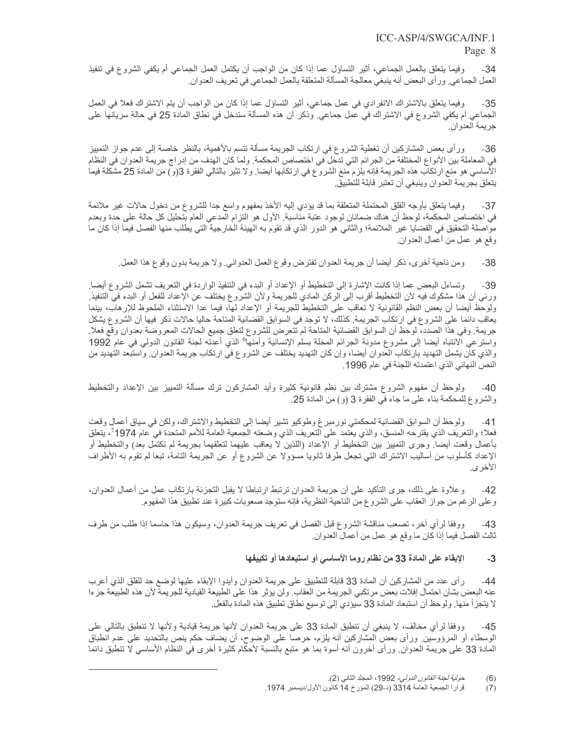وفيما يتعلَّق بالعمل الجماعي، أثير التساؤل عما إذا كان من الواجب أن يكتمل العمل الجماعي أم يكفي الشروع في تنفيذ  $-34$ العمل الجماعي ور أي البعض أنه ينبغي معالجة المسألة المتعلقة بالعمل الجماعي في تعريف العدوان ِ

وفيما يتعلَّق بالاشتراك الانفرادي في عمل جماعي، أثير التساؤل عما إذا كان من الواجب أن يتم الاشتراك فعلا في العمل -35 الجماعي أم يكفي الشروع في الاشتراك في عمل جماعي. وذكر أن هذه المسألة ستدخل في نطاق المادة 25 في حالة سريانها على جر يمة العدوان.

ور أي بعض المشاركين أن تغطية الشروع في ارتكاب الجريمة مسألة تتسم بالأهمية، بالنظر خاصة إلى عدم جواز التمييز -36 في المعاملة بين الأنواع المختلفة من الجرائم التي تدخل في اختصاص المحكمة. ولما كان الهدف من إدراج جريمة العدوان في النظام الأساسي هو منع ارتكاب هذه الجريمة فإنه يلزم منع الشروع في ارتكابها أيضا. ولا تثير بالتالي الفقرة 3(و) من المادة 25 مشكلة فيما يتعلق بجريمة العدوان وينبغي أن تعتبر قابلة للتطبيق

وفيما يتعلق بأوجه القلق المحتملة المتعلقة بما قد يؤدي إليه الأخذ بمفهوم واسع جدا للشروع من دخول حالات غير ملائمة  $-37$ في اختصاص المحكمة، لوحظ أن هناك ضمانان لوجود عتبة مناسبة. الأول هو النزام المدعي العام بتحليل كل حالة على حدة وبعدم مواصلة التحقيق في القضايا غير الملائمة؛ والثاني هو الدور الذي قد تقوم به الهيئة الخارجية التي يطلب منها الفصل فيما إذا كان ما وقع هو عمل من أعمال العدوان ِ

ومن ناحية أخرى، ذكر أيضا أن جريمة العدوان تفترض وقوع العمل العدواني ولا جريمة بدون وقوع هذا العمل ِ  $-38$ 

وتساءل البعض عما إذا كانت الإشارة إلى التخطيط أو الإعداد أو البدء في التنفيذ الواردة في التعريف تشمل الشروع أيضا  $-39$ ورئي أن هذا مشكوك فيه لأن التخطيط أقرب إلى الركن المادي للجريمة ولأن الشروع يختلف عن الإعداد للفعل أو البدء في التنفيذ ولوحظ أيضا أن بعض النظم القانونية لا تعاقب على التخطيط للجريمة أو الإعداد لها، فيما عدا الاستثناء الملحوظ للإرهاب، بينما بعاقب دائما على الشروع في ارتكاب الجريمة. كذلك، لا توجد في السوابق القضائية المتاحة حاليا حالات ذكر فيها أن الشروع يشكل جريمة. وفي هذا الصدد، لوحظ أن السوابق القضائية المناحة لم تتعرض للشروع لتعلق جميع الحالات المعروضة بعدوان وقع فعلا واسترعي الانتباه أيضا إلى مشروع مدونة الجرائم المخلة بسلم الإنسانية وأمنها° الذي أعدته لجنة القانون الدولي في عام 1992 والذي كان يشمل التهديد بارتكاب العدوان أيضا، وإن كان التهديد يختلف عن الشروع في ارتكاب جريمة العدوان واستبعد التهديد من النص النهائي الذي اعتمدته اللجنة في عام 1996.

ولوحظ أن مفهوم الشروع مشترك بين نظم قانونية كثيرة وأيد المشاركون ترك مسألة التمييز بين الإعداد والتخطيط  $-40$ والشروع للمحكمة بناء على ما جاء في الفقرة 3 (و) من المادة 25.

ولوحظ أن السوابق القضائية لمحكمتي نورمبر غ وطوكيو تشير أيضا إلى التخطيط والاشتراك، ولكن في سياق أعمال وقعت  $-41$ فعلا؛ والتعريف الذي يقترحه المنسق، والذي يعتمد على التعريف الذي وضعته الجمعية العامة للأمم المتحدة في عام 1974<sup>7</sup>، يتعلق بأعمال وقعت أيضا ¸وجرى التمييز بين التخطيط أو الإعداد (اللذين لا يعاقب عليهما لتعلقهما بجريمة لم تكتمل بعد) والتخطيط أو الإعداد كأسلوب من أساليب الاشتراك التي تجعل طرفا ثانويا مسؤولا عن الشروع أو عن الجريمة التامة، تبعا لم تقوم به الأطراف الأخر ي.

و علاوة على ذلك، جرى التأكيد على أن جريمة العدوان ترتبط ارتباطا لا يقبل التجزئة بارتكاب عمل من أعمال العدوان،  $-42$ و على الرغم من جواز العقاب على الشروع من الناحية النظرية، فإنه ستوجد صعوبات كبيرة عند تطبيق هذا المفهوم ِ

ووفقا لرأي أخر، تصعب مناقشة الشروع قبل الفصل في تعريف جريمة العدوان، وسيكون هذا حاسما إذا طلب من طرف  $-43$ ثالث الفصل فيما إذا كان ما وقع هو عمل من أعمال العدوان ِ

#### الإبقاء على المادة 33 من نظام روما الأساسي أو استبعادها أو تكييفها  $-3$

ر أي عدد من المشاركين أن المادة 33 قابلة للتطبيق على جريمة العدوان وأيدوا الإبقاء عليها لوضع حد للقلق الذي أعرب  $-44$ عنه البعض بشأن احتمال إفلات بعض مرتكبي الجريمة من العقاب ولن يؤثر هذا على الطبيعة القيادية للجريمة لأن هذه الطبيعة جزءا لا يتجزأ منها. ولوحظ أن استبعاد المادة 33 سيؤدي إلى توسيع نطاق تطبيق هذه المادة بالفعل.

ووفقا لرأى مخالف، لا ينبغي أن تنطبق المادة 33 على جريمة العدوان لأنها جريمة قيادية ولأنها لا تنطبق بالتالي على  $-45$ الوسطاء أو المرؤوسين ورأى بعض المشاركين أنه بلزم، حرصا على الوضوح، أن يضاف حكم ينص بالتحديد على عدم انطباق المادة 33 على جريمة العدوان ورأى أخرون أنه أسوة بما هو متبع بالنسبة لأحكام كثيرة أخرى في النظام الأساسي لا تنطبق دائما

حولية لجنة القانون الدولي، 1992، المجلد الثاني (2).  $(6)$ 

قرارا الجمعية العامة 3314 (د-29) المؤرخ 14 كانون الأول/ديسمبر 1974.  $(7)$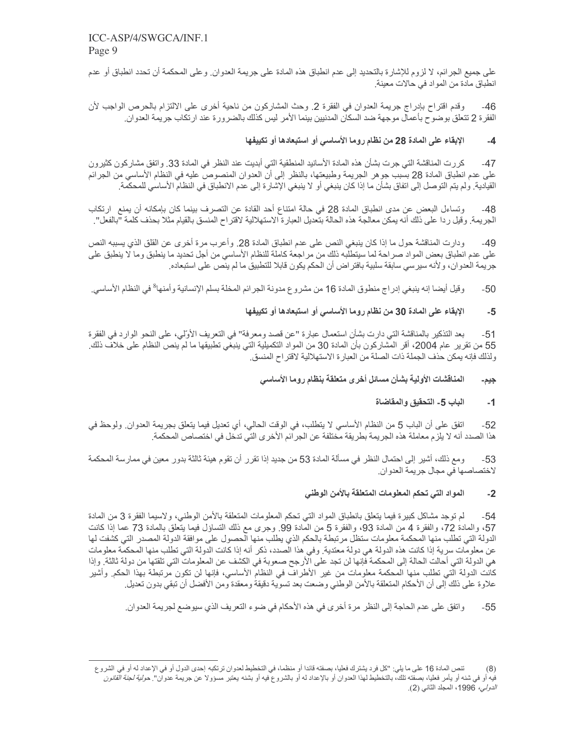على جميع الجرائم، لا لزوم للإشارة بالتحديد إلى عدم انطباق هذه المادة على جريمة العدوان. وعلى المحكمة أن تحدد انطباق أو عدم انطباق مادة من المواد في حالات معينة.

وقدم اقتراح بإدراج جريمة العدوان في الفقرة 2. وحث المشاركون من ناحية أخرى على الالتزام بالحرص الواجب لأن  $-46$ الفقرة 2 تتعلق بوضوح بأعمال موجهة ضد السكان المدنيين بينما الأمر ليس كذلك بالضرورة عند ارتكاب جريمة العدوان ِ

#### الإبقاء على المادة 28 من نظام روما الأساسي أو استبعادها أو تكييفها  $-4$

كررت المناقشة التي جرت بشأن هذه المادة الأسانيد المنطقية التي أبديت عند النظر في المادة 33. واتفق مشاركون كثير ون  $-47$ على عدم انطباق المادة 28 بسبب جوهر الجريمة وطبيعتها، بالنظر إلى أنّ العدوان المنصوصٌ عليه في النظام الأساسي من الجرائم القيادية. ولم يتم التوصل إلى اتفاق بشأن ما إذا كان ينبغي أو لا ينبغي الإشارة إلى عدم الانطباق في النظام الأساسي للمحكمة.

وتساءل البعض عن مدى انطباق المادة 28 في حالة امتناع أحد القادة عن التصرف بينما كان بإمكانه أن يمنع ارتكاب  $-48$ الجريمة. وقيل ردا على ذلك أنه يمكن معالجة هذه الحالة بتعديل العبارة الاستهلالية لاقتراح المنسق بالقيام مثلا بحذف كلمة "بالفعل".

ودارت المناقشة حول ما إذا كان ينبغي النص على عدم انطباق المادة 28. وأعرب مرة أخرى عن القلق الذي يسببه النص  $-49$ على عدم انطباق بعض المواد صراحة لما سيتطلبه ذلك من مراجعة كاملة للنظام الأساسي من أجل تحديد ما ينطبق وما لا ينطبق على جريمة العدوان، ولأنه سيرسي سابقة سلبية بافتر اض أن الحكم يكون قابلا للتطبيق ما لم ينص على استبعاده ِ

وقيل أيضنا إنه ينبغي إدراج منطوق المادة 16 من مشروع مدونة الجرائم المخلة بسلم الإنسانية وأمنها<sup>8</sup> في النظام الأساسي<sub>.</sub>  $-50$ 

#### الإبقاء على المادة 30 من نظام روما الأساسي أو استبعادها أو تكييفها  $-5$

بعد التذكير بالمناقشة التي دارت بشأن استعمال عبارة "عن قصد ومعرفة" في التعريف الأولى، على النحو الوارد في الفقرة  $-51$ 55 من تقرير عام 2004، أقر المشاركون بأن المادة 30 من المواد التكميلية التي ينبغي تطبيقها ما لم ينص النظام على خلاف ذلك ولذلك فإنه يمكن حذف الجملة ذات الصلة من العبارة الاستهلالية لاقتراح المنسق

#### المناقشات الأولية بشأن مسائل أخرى متعلقة بنظام روما الأساسي جيم۔

#### الباب 5- التحقيق والمقاضاة  $-1$

اتفق على أن الباب 5 من النظام الأساسي لا يتطلب، في الوقت الحالي، أي تعديل فيما يتعلق بجريمة العدوان ٍ ولوحظ في  $-52$ هذا الصدد أنه لا يلز م معاملة هذه الجريمة بطريقة مختلفة عن الجر ائم الأخر ي التي تدخل في اختصـاص المحكمة ِ

ومع ذلك، أشير إلى احتمال النظر في مسألة المادة 53 من جديد إذا تقرر أن تقوم هيئة ثالثة بدور معين في ممارسة المحكمة  $-53$ لاختصاصها في مجال جريمة العدوان.

#### المواد التي تحكم المعلومات المتعلقة بالأمن الوطني  $-2$

لم توجد مشاكل كبيرة فيما يتعلَّق بانطباق المواد التي تحكم المعلومات المتعلَّقة بالأمن الوطني، ولاسيما الفقرة 3 من المادة  $-54$ 57، والمعادة 72، والفقرة 4 من المعادة 93، والفقرة 5 من المعادة 99. وجرى مع ذلك التساؤل فيما يتعلق بالمعادة 73 عما إذا كانت الدولة التي تطلب منها المحكمة معلومات ستظل مرتبطة بالحكم الذي يطلب منها الحصول على موافقة الدولة المصدر التي كشفت لها عن معلومات سرية إذا كانت هذه الدولة هي دولة معتدية<sub>.</sub> وفي هذا الصدد، ذكر أنه إذا كانت الدولة التي تطلب منها المحكمة معلومات هي الدولة التي أحالت الحالة إلى المحكمة فإنها لن تجد على الأرجح صعوبة في الكشف عن المعلومات التي تلقتها من دولة ثالثة. وإذا كانت الدولة التي تطلب منها المحكمة معلومات من غير الأطراف في النظام الأساسي، فإنها لن تكون مرتبطة بهذا الحكم ٍ وأشير علاوة على ذلك إلى أن الأحكام المتعلقة بالأمن الوطني وضعت بعد تسوية دقيقة ومعقدة ومن الأفضل أن تبقى بدون تعديل

واتفق على عدم الحاجة إلى النظر مرة أخرى في هذه الأحكام في ضوء التعريف الذي سيوضع لجريمة العدوان ِ  $-55$ 

تنص المادة 16 على ما يلي: "كل فرد يشترك فعليا، بصفته قائدا أو منظما، في التخطيط لعدوان ترتكبه إحدى الدول أو في الإعداد له أو في الشروع  $(8)$ فيه أو في شنه أو يأمر فعليا، بصفته تلك، بالتخطيط لهذا العدوان أو بالإعداد له أو بالشروع فيه أو بشنه يعتبر مسؤولا عن جريمة عدوان" ح*ولية لجنة القانون* ا*لدولي،* 1996، المجلد الثاني (2).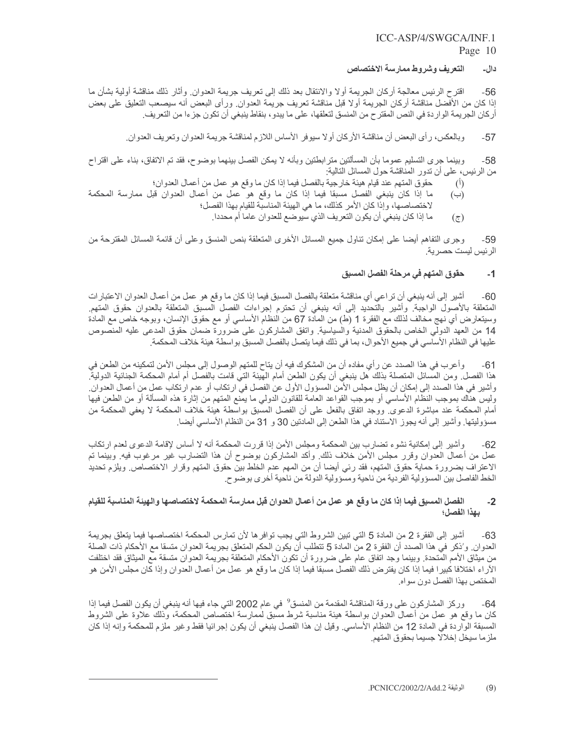#### التعريف وشروط ممارسة الاختصاص دال۔

اقترح الرئيس معالجة أركان الجريمة أولا والانتقال بعد ذلك إلى تعريف جريمة العدوان ٍ وأثار ذلك مناقشة أولية بشأن ما  $-56$ إذا كان من الأفضل مناقشة أركان الجريمة أولا قبل مناقشة تعريف جريمة العدوان ٍ ورأى البعض أنه سيصعب التعليق على بعض أركان الجريمة الواردة في النص المقترح من المنسق لتعلقها، على ما يبدو ، بنقاط ينبغي أن تكون جزءا من التعريف.

وبالعكس، رأى البعض أن مناقشة الأركان أولا سيوفر الأساس اللازم لمناقشة جريمة العدوان وتعريف العدوان ِ  $-57$ 

وبينما جرى التسليم عموما بأن المسألتين مترابطتين وبأنه لا يمكن الفصل بينهما بوضوح، فقد تم الاتفاق، بناء على اقتراح -58 من الرئيس، على أن تدور المناقشة حول المسائل التالية:

- حقوق المتهم عند قيام هيئة خارجية بالفصل فيما إذا كان ما وقع هو عمل من أعمال العدوان؛
- $\left( \mathbf{0} \right)$ ما إذا كان ينبغي الفصل مسبقا فيما إذا كان ما وقع هو عمل من أعمال العدوان قبل ممارسة المحكمة  $(\hookrightarrow)$ لاختصاصها، وإذا كان الأمر كذلك، ما هي الهيئة المناسبة للقيام بهذا الفصل؛
	- ما إذا كان ينبغي أن يكون التعريف الذي سيوضع للعدوان عاما أم محددا ِ  $(\overline{\zeta})$

وجرى التفاهم أيضـا على إمكان نناول جميع المسائل الأخرى المتعلقة بنص المنسق وعلى أن قائمة المسائل المقترحة من  $-59$ الرئيس ليست حصرية.

#### حقوق المتهم في مرحلة الفصل المسبق  $-1$

أشير إلى أنه ينبغي أن تراعي أي مناقشة متعلقة بالفصل المسبق فيما إذا كان ما وقع هو عمل من أعمال العدوان الاعتبارات  $-60$ المنعلقة بالأصول الواجبة. وأشير بالتحديد إلى أنه ينبغي أن تحترم إجراءات الفصل المسبق المنعلقة بالعدوان حقوق المنهم. وسيتعارض أي نهج مخالف لذلك مع الفقرة 1 (ط) من المادة 67 من النظام الأساسي أو مع حقوق الإنسان، وبوجه خاص مع المادة 14 من العهد الدولي الخاص بالحقوق المدنية والسياسية<sub>.</sub> واتفق المشاركون على ضرورة ضمان حقوق المدعى عليه المنصوص عليها في النظام الأساسي في جميع الأحوال، بما في ذلك فيما يتصل بالفصل المسبق بواسطة هيئة خلاف المحكمة<sub>.</sub>

وأعرب في هذا الصدد عن رأي مفاده أن من المشكوك فيه أن يتاح للمتهم الوصول إلى مجلس الأمن لتمكينه من الطعن في -61 هذا الفصل ومن المسائل المتصلة بذلك هل ينبغي أن يكون الطعن أمام الهيئة التي قامت بالفصل أم أمام المحكمة الجنائية الدولية وأشير في هذا الصدد إلى إمكان أن يظل مجلس الأمن المسؤول الأول عن الفصل في ارتكاب أو عدم ارتكاب عمل من أعمال العدوان ِ وليس هناك بموجب النظام الأساسي أو بموجب القواعد العامة للقانون الدولي ما يمنع المتهم من إثارة هذه المسألة أو من الطعن فيها أمام المحكمة عند مباشرة الدعوى ووجد اتفاق بالفعل على أن الفصل المسبق بواسطة هيئة خلاف المحكمة لا يعفي المحكمة من مسؤوليتها. وأشير إلى أنه يجوز الاستناد في هذا الطعن إلى المادتين 30 و 31 من النظام الأساسي أيضا.

وأشير إلى إمكانية نشوء تضارب بين المحكمة ومجلس الأمن إذا قررت المحكمة أنه لا أساس لإقامة الدعوى لعدم ارتكاب  $-62$ عمل من أعمال العدوان وقرر مجلس الأمن خلاف ذلك. وأكد المشاركون بوضوح أن هذا التضارب غير مرغوب فيه. وبينما تم الاعتراف بضرورة حماية حقوق المتهم، فقد رئي أيضا أن من المهم عدم الخلط بين حقوق المتهم وقرار الاختصاص ويلزم تحديد الخط الفاصل بين المسؤولية الفردية من ناحية ومسؤولية الدولة من ناحية أخرى بوضوح.

#### الفصل المسبق فيما إذا كان ما وقع هو عمل من أعمال العدوان قبل ممارسة المحكمة لاختصاصها والهيئة المناسبة للقيام  $-2$ يهذا الفصل؛

أشير إلى الفقرة 2 من المادة 5 التي تبين الشروط التي يجب توافرها لأن تمارس المحكمة اختصاصها فيما يتعلق بجريمة -63 العدوان و'ذكر في هذا الصدد أن الفقرة 2 من المادة 5 تتطلب أن يكون الحكم المتعلق بجريمة العدوان متسقا مع الأحكام ذات الصلة من ميثاق الأمم المتحدة. وبينما وجد اتفاق عام على ضرورة أن تكون الأحكام المتعلقة بجريمة العدوان متسقة مع الميثاق فقد اختلفت الأراء اختلافا كبيرا فيما إذا كان يفتر ض ذلك الفصل مسبقا فيما إذا كان ما وقع هو عمل من أعمال العدوان وإذا كان مجلس الأمن هو المختص بهذا الفصل دون سواه

وركز المشاركون على ورقة المناقشة المقدمة من المنسق<sup>9</sup> في عام 2002 التي جاء فيها أنه ينبغي أن يكون الفصل فيما إذا -64 كان ما وقع هو عمل من أعمال العدوان بواسطة هيئة مناسبة شرط مسبق لممارسة اختصاص المحكمة، وذلك علاوة على الشروط المسبقة الواردة في المادة 12 من النظام الأساسي. وقيل إن هذا الفصل ينبغي أن يكون إجرائيا فقط وغير ملزم للمحكمة وإنه إذا كان ملزما سيخل إخلالا جسيما بحقوق المتهم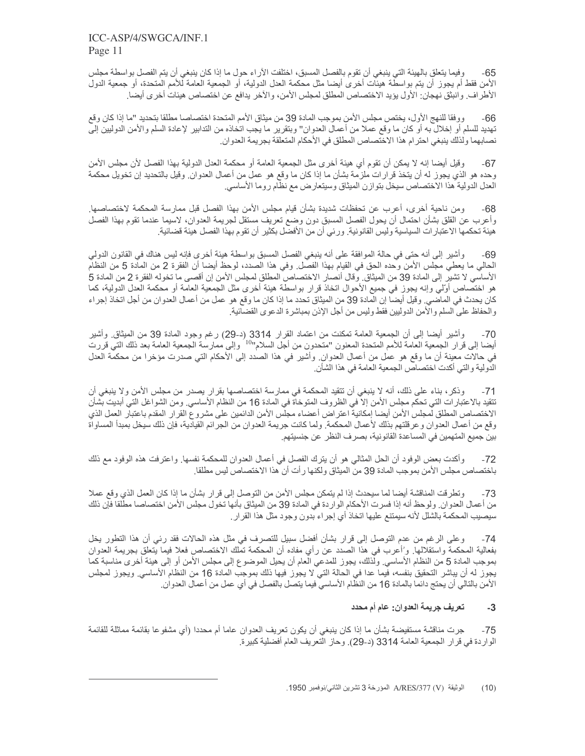وفيما يتعلق بالهيئة التي ينبغي أن تقوم بالفصل المسبق، اختلفت الأر اء حول ما إذا كان ينبغي أن يتم الفصل بواسطة مجلس  $-65$ الأمن فقط أم يجوز أن يتم بواسطَّة هيئات أخرى أيضا مثل محكمة العدل الدولية، أو الجمعية العامة للأمم المتحدة، أو جمعية الدول الأطراف وانبثق نهجان: الأول يؤيد الاختصاص المطلق لمجلس الأمن، والآخر يدافع عن اختصاص هيئات أخرى أيضا ـ

ووفقا للنهج الأول، يختص مجلس الأمن بموجب المادة 39 من ميثاق الأمم المتحدة اختصاصا مطلقا بتحديد "ما إذا كان وقع -66 تهديد للسلم أو إخلال به أو كان ما وقع عملا من أعمال العدوان" وبتقرير ما يجب اتخاذه من التدابير لإعادة السلم والأمن الدوليين إلى نصابهما ولذلك ينبغي احترام هذا الاختصاص المطلق في الأحكام المتعلقة بجريمة العدوان ِ

وقيل أيضا إنه لا يمكن أن تقوم أي هيئة أخرى مثل الجمعية العامة أو محكمة العدل الدولية بهذا الفصل لأن مجلس الأمن  $-67$ وحده هو الذي يجوز له أن يتخذ قرارات ملزمة بشأن ما إذا كان ما وقع هو عمل من أعمال العدوان. وقيل بالتحديد إن تخويل محكمة العدل الدولية هذا الاختصاص سيخل بتوازن الميثاق وسيتعارض مع نظام روما الأساسي

ومن ناحية أخرى، أعرب عن تحفظات شديدة بشأن قيام مجلس الأمن بهذا الفصل قبل ممارسة المحكمة لاختصاصها ِ  $-68$ وأعرب عن القلق بشأن احتمال أن يحول الفصل المسبق دون وضع تعريف مستقل لجريمة العدوان، لاسيما عندما تقوم بهذا الفصل هيئة تحكمها الاعتبار ات السياسية وليس القانونية. ورئي أن من الأفضل بكثير أن تقوم بهذا الفصل هيئة قضائية.

وأشير إلى أنه حتى في حالة الموافقة على أنه ينبغي الفصل المسبق بواسطة هيئة أخرى فإنه ليس هناك في القانون الدولي -69 الحالي ما يعطي مجلس الأمن وحده الحق في القيام بهذا الفصّل ٍ وفـى هذا الصدد، لوحظ أيضا أن الفقرة 2 من المآدة 5 من النظآم الأساسي لا تشير إلى المادة 39 من الميثاق وقال أنصار الاختصاص المطلق لمجلس الأمن إن أقصى ما تخوله الفقرة 2 من المادة 5 هو اختصاص أوّلي وإنه يجوز في جميع الأحوال اتخاذ قرار بواسطة هيئة أخرى مثل الجمعية العامة أو محكمة العدل الدولية، كما كان يحدث في الماضي. وقيل أيضا إن المادة 39 من الميثاق تحدد ما إذا كان ما وقع هو عمل من أعمال العدوان من أجل اتخاذ إجراء والحفاظ على السلم والأمن الدوليين فقط وليس من أجل الإذن بمباشرة الدعوى القضائية<sub>.</sub>

وأشير أيضا إلى أن الجمعية العامة تمكنت من اعتماد القرار 3314 (د-29) رغم وجود المادة 39 من الميثاق وأشير  $-70$ أيضا إلى قرار الجمعية العامة للأمم المتحدة المعنون "متحدون من أجل السلام"<sup>10</sup> وإلى ممارسة الجمعية العامة بعد ذلك التي قررت في حالات معينة أن ما وقع هو عمل من أعمال العدوان وأشير في هذا الصدد إلى الأحكام التي صدرت مؤخرا من محكمة العدل الدولية والتي أكدت اختصاص الجمعية العامة في هذا الشأن.

وذكر، بناء على ذلك، أنه لا ينبغي أن تتقيد المحكمة في ممارسة اختصاصها بقرار يصدر من مجلس الأمن ولا ينبغي أن  $-71$ تتقيد بالاعتبارات التي تحكم مجلس الأمن إلا في الظروف المتوخاة في المادة 16 من النظام الأساسي. ومن الشواغل التي أبديت بشأن الاختصاص المطلق لمجلس الأمن أيضا إمكانية اعتراض أعضاء مجلس الأمن الدائمين على مشروع القرار المقدم باعتبار العمل الذي وقع من أعمال العدوان وعرقلتهم بذلك لأعمال المحكمة ولما كانت جريمة العدوان من الجرائم القيادية، فإن ذلك سيخل بمبدأ المساواة بين جميع المتهمين في المساعدة القانونية، بصر ف النظر عن جنسيتهم ِ

وأكدت بعض الوفود أن الحل المثالي هو أن يترك الفصل في أعمال العدوان للمحكمة نفسها<sub>.</sub> واعترفت هذه الوفود مع ذلك  $-72$ باختصاص مجلس الأمن بموجب المادة 39 من الميثاق ولكنها ر أت أن هذا الاختصاص ليس مطلقا ِ

وتطرقت المناقشة أيضا لما سيحدث إذا لم يتمكن مجلس الأمن من التوصل إلى قرار بشأن ما إذا كان العمل الذي وقع عملا  $-73$ من أعمال العدوان. ولوحظ أنه إذا فسرت الأحكام الواردة في المادة 39 من الميثاق بأنها تخول مجلس الأمن اختصاصا مطلقا فإن ذلك سيصيب المحكمة بالشلل لأنه سيمتنع عليها اتخاذ أي إجراء بدون وجود مثل هذا القرار ِ

وعلى الرغم من عدم التوصل إلى قرار بشأن أفضل سبيل للتصرف في مثل هذه الحالات فقد رئي أن هذا التطور يخل  $-74$ بفعالية المحكمة واستقلالها<sub>.</sub> و'أعرب في هذا الصدد عن رأي مفاده أن المحكمة تملك الاختصاص فعلا فيما يتعلق بجريمة العدوان بموجب المادة 5 من النظام الأساسي. ولذلك، يجوز للمدعي العام أن يحيل الموضوع إلى مجلس الأمن أو إلى هيئة أخرى مناسبة كما يجوز له أن يباشر التحقيق بنفسه، فيما عدا في الحالة التي لا يجوز فيها ذلك بموجب المادة 16 من النظام الأساسي ويجوز لمجلس الأمن بالتالي أن يحتج دائما بالمادة 16 من النظام الأساسي فيما يتصل بالفصل في أي عمل من أعمال العدوان ِ

#### تعريف جريمة العدوان: عام أم محدد  $-3$

جرت مناقشة مستفيضة بشأن ما إذا كان ينبغي أن يكون تعريف العدوان عاما أم محددا (أي مشفو عا بقائمة مماثلة للقائمة  $-75$ الواردة في قرار الجمعية العامة 3314 (د-29). وحاز التعريف العام أفضلية كبيرة.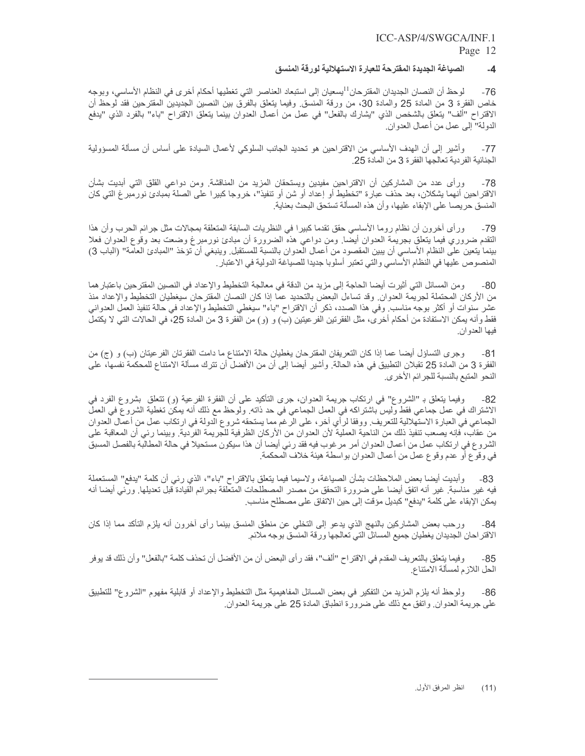#### الصياغة الجديدة المفترحة للعبارة الاستهلالية لورقة المنسق  $-4$

لوحظ أن النصان الجديدان المقترحان<sup>11</sup>يسعيان إلى استبعاد العناصر التي تغطيها أحكام أخرى في النظام الأساسي، وبوجه  $-76$ خاص الفقرة 3 من المادة 25 والمادة 30، من ورقة المنسق وفيما يتعلَّق بالفرق بين النصين الجديدين المقترحين فقد لوحظ أن الاقتراح "ألف" يتعلَّق بالشخص الذي "يشارك بالفعل" في عمل من أعمال العدوان بينما يتعلَّق الاقتراح "باء" بالفرد الذي "يدفع الدولة" إلى عمل من أعمال العدوان.

وأشْير إلى أن الهدف الأساسي من الاقتراحين هو تحديد الجانب السلوكي لأعمال السيادة على أساس أن مسألة المسؤولية  $-77$ الجنائية الفر دية تعالجها الفقرة 3 من المادة 25.

ورأى عدد من المشاركين أن الاقتراحين مفيدين ويستحقان المزيد من المناقشة. ومن دواعي القلق التي أبديت بشأن -78 الاقتراحين أنهما يشكلان، بعد حذف عبارة "تخطيط أو إعداد أو شن أو تنفيذ"، خروجا كبيرا على الصلة بمبادئ نورمبرغ التي كان المنسق حريصا على الإبقاء عليها، وأن هذه المسألة تستحق البحث بعناية.

ور أي أخرون أن نظام روما الأساسي حقق تقدما كبير ا في النظريات السابقة المتعلقة بمجالات مثل جرائم الحرب وأن هذا  $-79$ النقدم ضروري فيما يتعلق بجريمة العدوان أيضا<sub>.</sub> ومن دواعي هذه الضرورة أن مبادئ نورمبرغ وضعت بعد وقوع العدوان فعلا بينما يتعين على النظام الأساسي أن يبين المقصود من أعمال العدوان بالنسبة للمستقبل وينبغي أن تؤخذ "المبادئ العامة" (الباب 3) المنصوص عليها في النظام الأساسي والتي تعتبر أسلوبا جديدا للصياغة الدولية في الاعتبار ِ

ومن المسائل التي أثيرت أيضا الحاجة إلى مزيد من الدقة في معالجة التخطيط والإعداد في النصين المقترحين باعتبار هما -80 من الأركان المحتملة لجريمة العدوان ِ وقد تساءل البعض بالتحديد عما إذا كان النصان المقترحان سيغطيان التخطيط والإعداد منذ عشر سنوات أو أكثر بوجه مناسب وفي هذا الصدد، ذكر أن الاقتراح "باء" سيغطي التخطيط والإعداد في حالة تنفيذ العمل العدواني فقط وأنه يمكن الاستفادة من أحكام أخرى، مثل الفقرتين الفر عيتين (ب) و (و) من الفقرة 3 من المادة 25، في الحالات التي لا يكتمل فيها العدوان.

وجرى التساؤل أيضًا عما إذا كان التعريفان المقترحان يغطيان حالة الامتناع ما دامت الفقرتان الفرعيتان (ب) و (ج) من  $-81$ الفقرة 3 من المادة 25 تقبلان التطبيق في هذه الحالة. وأشير أيضا إلى أن من الأفضل أن تترك مسألة الامتناع للمحكمة نفسها، على النحو المتبع بالنسبة للجر ائم الأخرى.

وفيما ينعلق بـ "الشروع" في ارتكاب جريمة العدوان، جرى التأكيد على أن الفقرة الفرعية (و) تتعلق بشروع الفرد في -82 الاشْتراك في عمل جماعي فقط وليس باشتراكه في العمل الجماعي في حد ذاته. ولوحظ مع ذلك أنه يمكن تغطية الشروع في العمل الجماعي في العبارة الاستهلالية للتعريف ووفقا لرأي أخر، على الرغم مما يستحقه شروع الدولة في ارتكاب عمل من أعمال العدوان من عقاب، فإنه يصعب تنفيذ ذلك من الناحية العملية لأن العدوان من الأركان الظرفية للجريمة الفردية. وبينما رئي أن المعاقبة على الشروع في ارتكاب عمل من أعمال العدوان أمر مرغوب فيه فقد رئي أيضا أن هذا سيكون مستحيلا في حالة المطالبة بالفصل المسبق في وقوع أو عدم وقوع عمل من أعمال العدوان بواسطة هيئة خلاف المحكمة<sub>.</sub>

وأبديت أيضا بعض الملاحظات بشأن الصياغة، ولاسيما فيما يتعلق بالاقتراح "باء"، الذي رئي أن كلمة "يدفع" المستعملة -83 فيه غير مناسبة<sub>.</sub> غير أنه اتفق أيضا على ضرورة التحقق من مصدر المصطلحات المتعلقة بجرائم القيادة قبل تعديلها<sub>.</sub> ورئي ايضا أنه يمكن الإبقاء على كلمة "يدفع" كبديل مؤقت إلى حين الاتفاق على مصطلح مناسب ِ

ورحب بعض المشاركين بالنهج الذي يدعو إلى التخلي عن منطق المنسق بينما رأى أخرون أنه يلزم التأكد مما إذا كان  $-84$ الاقتراحان الجديدان يغطيان جميع المسائل الني تعالجها ورقة المنسق بوجه ملائم

وفيما يتعلَّق بالتعريف المقدم في الاقتراح "ألف"، فقد رأى البعض أن من الأفضل أن تحذف كلمة "بالفعل" وأن ذلك قد يوفر -85 الحل اللازم لمسألة الامتناع

ولوحظ أنه يلزم المزيد من التفكير في بعض المسائل المفاهيمية مثل التخطيط والإعداد أو قابلية مفهوم "الشروع" للتطبيق -86 على جريمة العدوان ِ واتفق مع ذلك على ضرورة انطباق المادة 25 على جريمة العدوان ِ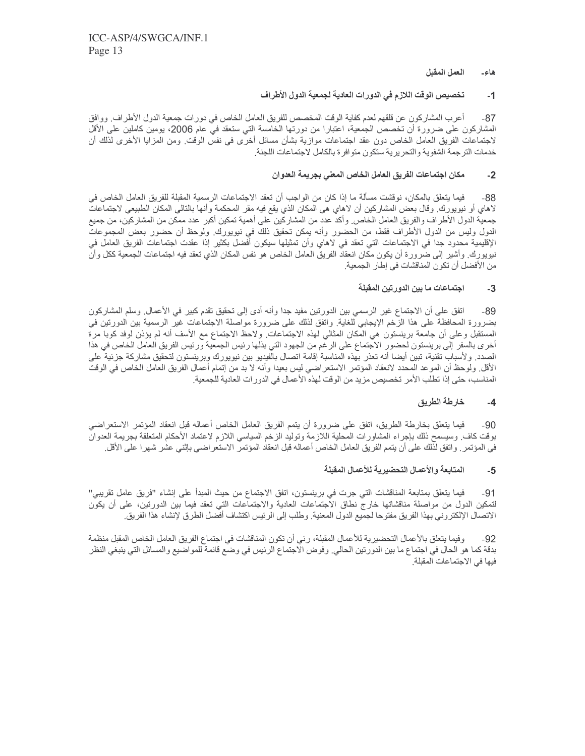#### العمل المقبل هاء۔

#### تخصيص الوقت اللازم في الدورات العادية لجمعية الدول الأطراف  $-1$

أعرب المشاركون عن قلقهم لعدم كفاية الوقت المخصص للفريق العامل الخاص في دورات جمعية الدول الأطراف٬ ووافق  $-87$ المشاركون على ضرورة أن تخصص الجمعية، اعتبارا من دورتها الخامسة التي ستعقد في عام 2006، يومين كاملين على الأقل لاجتماعات الفريق العامل الخاص دون عقد اجتماعات موازية بشأن مسائل أخرى في نفس الوقت ٍ ومن المزايا الأخرى لذلك أن خدمات الترجمة الشفوية والتحريرية ستكون متوافرة بالكامل لاجتماعات اللجنة

#### مكان اجتماعات الفريق العامل الخاص المعنى بجريمة العدوان  $-2$

فيما يتعلَّق بالمكان، نوقشت مسألة ما إذا كان من الواجب أن تعقد الاجتماعات الرسمية المقبلة للفريق العامل الخاص في  $-88$ لاهاي أو نيويورك. وقال بعض المشاركين أن لاهاي هي المكان الذي يقع فيه مقر المحكمة وأنها بالتالي المكان الطبيعي لاجتماعات جمعية الدول الأطراف والفريق العامل الخاص وأكد عدد من المشاركين على أهمية تمكين أكبر عدد ممكن من المشاركين، من جميع الدول وليس من الدول الأطراف فقط، من الحضور وأنه يمكن تحقيق ذلك في نيويورك. ولوحظ أن حضور بعض المجموعات الإقليمية محدود جدا في الاجتماعات التي تعقد في لاهاي وأن تمثيلها سيكون أفضل بكثير إذا عقدت اجتماعات الفريق العامل في نيويورك. وأشير إلى ضرورة أن يكون مكان انعقاد الفريق العامل الخاص هو نفس المكان الذي تعقد فيه اجتماعات الجمعية ككل وأن من الأفضل أن تكون المناقشات في إطار الجمعية.

#### اجتماعات ما بين الدورتين المقبلة  $-3$

اتفق على أن الاجتماع غير الرسمي بين الدورتين مفيد جدا وأنه أدى إلى تحقيق تقدم كبير في الأعمال وسلم المشاركون  $-89$ بضرورة المحافظة على هذا الزخم الإيجابي للغاية. واتفق لذلك على ضرورة مواصلة الاجتماعات غير الرسمية بين الدورتين في المستقبل وعلى أن جامعة برينستون هي المكان المثالي لهذه الاجتماعات ولاحظ الاجتماع مع الأسف أنه لم يؤذن لوفد كوبا مرة أخرى بالسفر إلى برينستون لحضور الاجتماع على الرغم من الجهود التي بذلها رئيس الجمعية ورئيس الفريق العامل الخاص في هذا الصدد ولأسباب تقنية، تبين أيضا أنه تعذر بهذه المناسبة إقامة اتصال بالفيديو بين نيويورك وبرينستون لتحقيق مشاركة جزئية على الأقل ِ ولوحظ أن الموعد المحدد لانعقاد المؤتمر الاستعراضي ليس بعيدا وأنه لا بد من إتمام أعمال الفريق العامل الخاص في الوقت المناسب، حتى إذا تطلب الأمر تخصيص مزيد من الوقت لهذه الأعمال في الدورات العادية للجمعية ِ

#### خارطة الطريق  $-4$

فيما يتعلَّق بخارطة الطريق، اتفق على ضرورة أن يتمم الفريق العامل الخاص أعماله قبل انعقاد المؤتمر الاستعراضي  $-90$ بوقت كاف وسيسمح ذلك بإجراء المشاورات المحلية اللازمة وتوليد الزخم السياسي اللازم لاعتماد الأحكام المتعلقة بجريمة العدوان في المؤتمر . واتفق لذلك على أن يتمم الفريق العامل الخاص أعماله قبل انعقاد المؤتمر الاستعراضي بإثني عشر شهرا على الأقل

#### المتابعة والأعمال التحضير ية للأعمال المقبلة  $-5$

فيما يتعلَّق بمتابعة المناقشات التي جرت في برينستون، اتفق الاجتماع من حيث المبدأ على إنشاء "فريق عامل تقريبي"  $-91$ لتمكين الدول من مواصلة مناقشاتها خارج نطاق الاجتماعات العادية والاجتماعات التي تعقد فيما بين الدورتين، على أن يكون الاتصـال الإلكتروني بهذا الفريق مفتوحا لجميع الدول المعنية. وطلب إلى الرئيس اكتشاف أفضل الطرق لإنشاء هذا الفريق

وفيما يتعلَّق بالأعمال التحضيرية للأعمال المقبلة، رئي أن تكون المناقشات في اجتماع الفريق العامل الخاص المقبل منظمة  $-92$ بدقة كما هو الحال في اجتماع ما بين الدورتين الحالي. وفوض الاجتماع الرئيس في وضع قائمة للمواضيع والمسائل التي ينبغي النظر فيها في الاجتماعات المقبلة.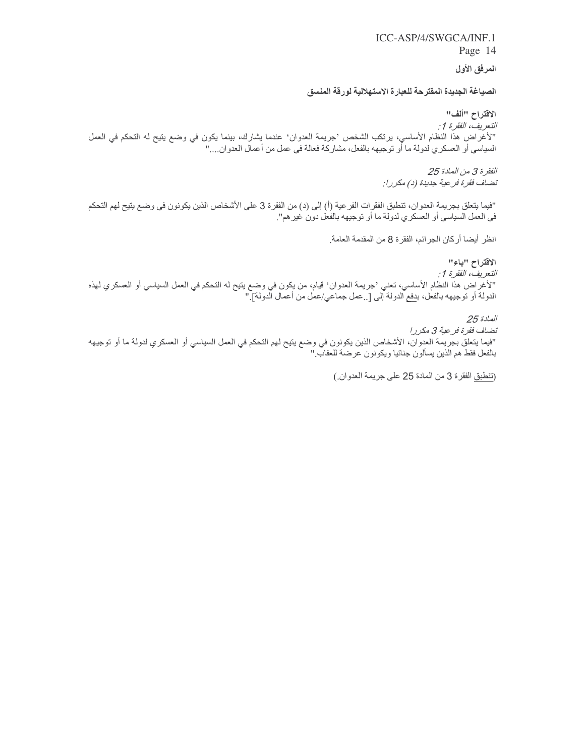Page 14

# المرفق الأول

# الصياغة الجديدة المفترحة للعبارة الاستهلالية لورقة المنسق

### الاقتراح "ألف"

التعريف، الفقرة 1 : "لأغراض هذا النظام الأساسي، يرتكب الشخص 'جريمة العدوان' عندما يشارك، بينما يكون في وضع يتيح له التحكم في العمل السياسي أو العسكري لدولة ما أو توجيهه بالفعل، مشاركة فعالة في عمل من أعمال العدوان...."

> الفقرة 3 من المادة 25 تضاف فقرة فرعية جديدة (د) مكررا:

"فيما يتعلَّق بجريمة العدوان، تنطبق الفقرات الفر عية (أ) إلى (د) من الفقرة 3 على الأشخاص الذين يكونون في وضع يتيح لهم التحكم في العمل السياسي أو العسكري لدولة ما أو توجيهه بالفعل دون غير هم".

انظر أيضا أركان الجرائم، الفقرة 8 من المقدمة العامة.

الاقتراح "باء"

التعريف، الفقر ۃ 1: "لأغراض هذا النظام الأساسي، تعني 'جريمة العدوان' قيام، من يكون في وضع يتيح له التحكم في العمل السياسي أو العسكري لهذه<br>الدولة أو توجيهه بالفعل، ب<u>دفع</u> الدولة إلى [..عمل جماعي/عمل من أعمال الدولة]."

المادة 25

تضاف فقرة فرعية 3 مكررا "فيما يتعلَّق بجريمة العدوان، الأشخاص الذين يكونون في وضع يتيح لهم التحكم في العمل السياسي أو العسكري لدولة ما أو توجيهه بالفعل فقط هم الذين يسألون جنائيا ويكونون عرضة للعقاب "

(تَنْطِيقِ الفقرة 3 من المادة 25 على جريمة العدوان.)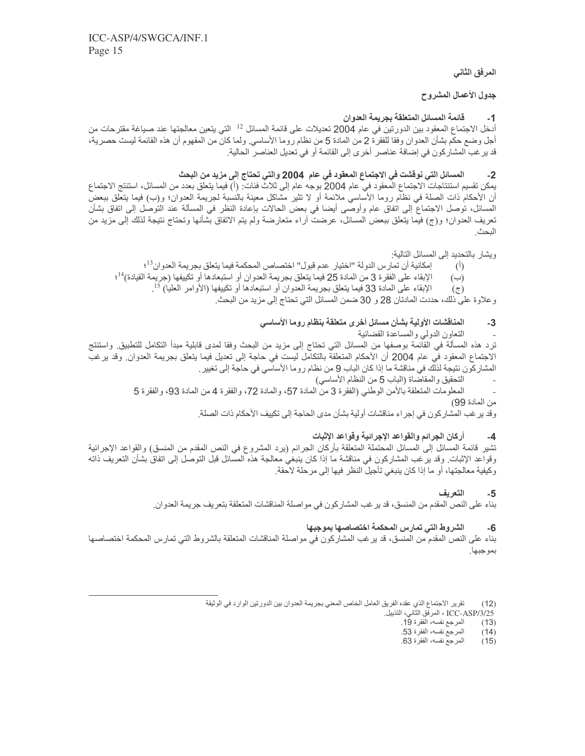## المرفق الثاني

### جدول الأعمال المشروح

#### قائمة المسائل المتعلقة بجريمة العدوان  $-1$

أدخل الاجتماع المعقود بين الدورتين في عام 2004 تعديلات على قائمة المسائل <sup>12</sup> التي يتعين معالجتها عند صياغة مقترحات من أجل وضـع حكم بشأن العدوان وفقا للفقرة 2 من المـادة 5 من نظام رومـا الأساسـي ولمـا كـان من المفهوم أن هذه القائمة ليست حصـرية، قد ير غب المشاركون في إضافة عناصر أخرى إلى القائمة أو في تعديل العناصر الحالية ِ

#### المسائل التي نوفشت في الاجتماع المعقود في عام 2004 والتي تحتاج إلى مزيد من البحث  $-2$

يمكن تقسيم استنتاجات الاجتماع المعقود في عام 2004 بوجه عام إلى ثلاث فئات: (أ) فيما يتعلَّق بعدد من المسائل، استنتج الاجتماع أن الأحكام ذات الصلة في نظام روما الأساسي ملائمة أو لا تثير مشاكل معينة بالنسبة لجريمة العدوان؛ و(ب) فيما يتعلق ببعض المسائل، توصل الاجتماع إلى اتفاق عام وأوصىي أيضا في بعض الحالات بإعادة النظر في المسألة عند التوصل إلى اتفاق بشأن تعريف المعدوان؛ و(ج) فيما يتعلق ببعض المسائل، عرضت آراء متعارضة ولم يتم الاتفاق بشأنها وتحتاج نتيجة لذلك إلى مزيد من

## ويشار بالتحديد إلى المسائل التالية:

- إمكانية أن تمار س الدولة "اختيار عدم فبول" اختصاص المحكمة فيما يتعلق بجر يمة العدوان<sup>13</sup>؛  $(1)$
- الإبقاء على الفقرة 3 من المادة 25 فيما يتعلق بجريمة العدوان أو استبعادها أو تكييفها (جريمة القيادة)<sup>14</sup>؛  $(\hookrightarrow)$ 
	- الإبقاء على المادة 33 فيما يتعلق بجريمة العدوان أو استبعادها أو تكييفها (الأوامر العليا) 15.  $(\overline{c})$

وعلاوة على ذلك، حددت المادتان 28 و 30 ضمن المسائل التي تحتاج إلى مزيد من البحث.

#### المناقشات الأولية بشأن مسائل أخرى متعلقة بنظام روما الأساسى  $-3$

### التعاون الدولي والمساعدة القضائية

ترد هذه المسألة في القائمة بوصفها من المسائل التي تحتاج إلى مزيد من البحث وفقا لمدى قابلية مبدأ التكامل للتطبيق واستنتج الاجتماع المعقود في عام 2004 أن الأحكام المتعلقة بالنكامل ليست في حاجة إلى تعديل فيما يتعلق بجريمة العدوان وقد يرغب المشار كون نتيجة لذلك في مناقشة ما إذا كان الباب 9 من نظام ر وما الأساسي في حاجة إلى تغيير .

- التحقيق والمقاضاة (الباب 5 من النظام الأساسي)
- المعلومات المتعلقة بالأمن الوطني (الفقرة 3 من المادة 57، والمادة 72، والفقرة 4 من المادة 93، والفقرة 5
	- من المادة 99)

وقد ير غب المشاركون في إجراء مناقشات أولية بشأن مدى الحاجة إلى تكييف الأحكام ذات الصلة ِ

#### أركان الجرائم والقواعد الإجرائية وقواعد الإثبات  $-4$

تشير قائمة المسائل إلى المسائل المحتملة المتعلقة بأركان الجرائم (يرد المشروع في النص المقدم من المنسق) والقواعد الإجرائية وقواعد الإثبات ِ وقد يرغب المشاركون في مناقشة ما إذا كان ينبغي معالجة هذه المسائل قبل النوصل إلى اتفاق بشأن التعريف ذاته وكيفية معالجتها، أو ما إذا كان ينبغي تأجيل النظر فيها إلى مرحلة لاحقة.

#### التعريف  $-5$

بناء على النص المقدم من المنسق، قد ير غب المشار كون في مو اصلة المناقشات المتعلقة بتعر يف جر يمة العدو ان

#### الشروط التى تمارس المحكمة اختصاصها بموجبها -6

بناء على النص المقدم من المنسق، قد يرغب المشاركون في مواصلة المناقشات المتعلقة بالشروط التي تمارس المحكمة اختصاصها بموجبها.

> :12) تقرير الاجتماع الذي عقده الفريق العامل الخاص المعني بجريمة العدو ان بين الدور تين الوارد في الوثيقة<br>ICC-ASP/3/25 ، المرفق الثاني، التذييل  $(12)$

- 
- المرجع نفسه، الفقرة 19.  $(13)$ 
	- المرجع نفسه، الفقرة 53.  $(14)$
	- المرجع نفسه، الفقرة 63.  $(15)$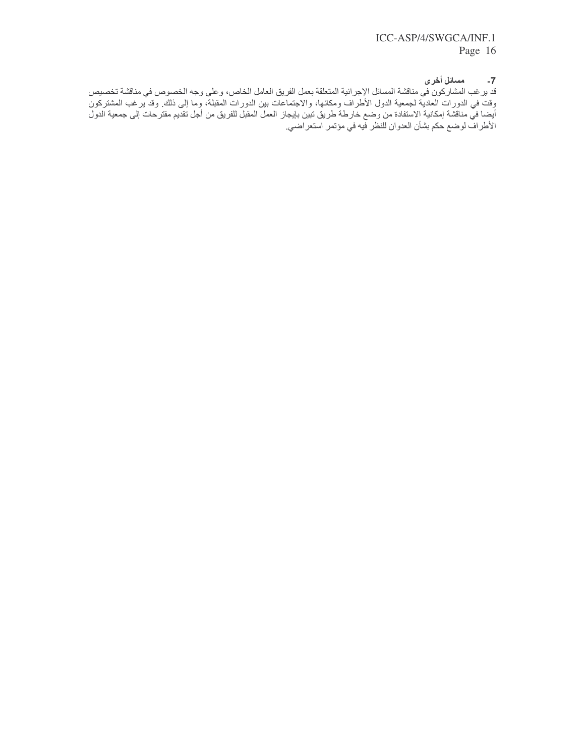مسائل أخرى  $-7$ 

قد يرغب المشاركون في مناقشة المسائل الإجرائية المنعلقة بعمل الفريق العامل الخاص، وعلى وجه الخصوص في مناقشة نخصيص<br>وقت في الدورات العادية لجمعية الدول الأطراف ومكانها، والاجتماعات بين الدورات المقبلة، وما إلى ذلك ِ وقد يرغب وت في الحوز – العصب السنفادة من وضع خارطة طريق تبين بإيجاز العمل المقبل الفريق من أجل تُقديم مقترحات إلى جمعية الدول<br>أيضا في مناقشة إمكانية الاستفادة من وضع خارطة طريق تبين بإيجاز العمل المقبل الفريق من أجل تُقديم مقترحات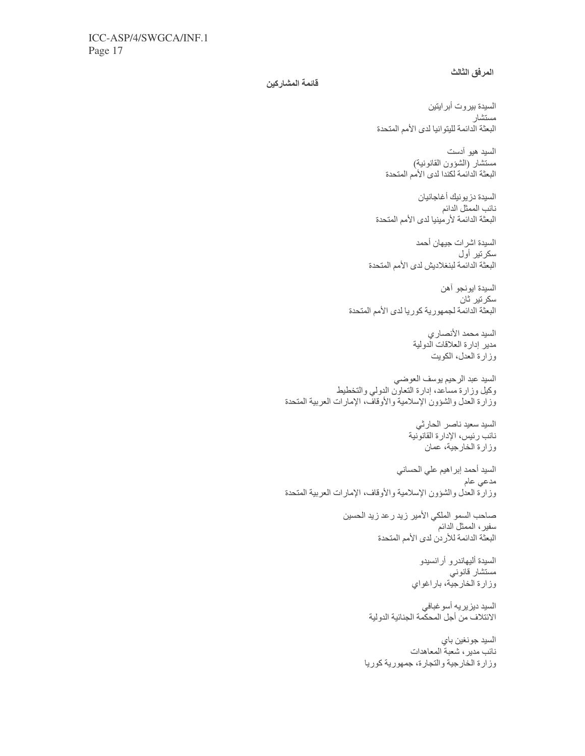### المرفق الثالث

### قائمة المشاركين

السيدة بيروت أبرايتين مستشار البعثة الدائمة لليتوانيا لدى الأمم المتحدة

السيد هيو آدست مستشار (الشؤون القانونية) البعثة الدائمة لكندا لدى الأمم المتحدة

السيدة دزيونيك أغاجانيان نائب الممثل الدائم البعثة الدائمة لأرمينيا لدى الأمم المتحدة

السيدة اشرات جيهان أحمد سکر تیر أول البعثة الدائمة لبنغلاديش لدى الأمم المتحدة

السيدة ايونجو أهن سكرتير ثان البعثة الدائمة لجمهورية كوريا لدى الأمم المتحدة

> السيد محمد الأنصاري<br>مدير إدارة العلاقات الدولية وزارة العدل، الكويت

السيد عبد الرحيم يوسف العوضي وكيل وزارة مساعد، إدارة التعاون الدولي والتخطيط وزارة العدل والشؤون الإسلامية والأوقاف، الإمارات العربية المتحدة

> السيد سعيد ناصر الحارثي نائب رئيس، الإدارة القانونية وزارة الخارجية، عمان

السبد أحمد إبراهيم علي الحساني مدعي عام وزارة العدل والشؤون الإسلامية والأوقاف، الإمارات العربية المتحدة

> صاحب السمو الملكي الأمير زيد رعد زيد الحسين سفير، الممثل الدائم البعثة الدائمة للأردن لدى الأمم المتحدة

> > السيدة أليهاندرو أرانسيدو مستشار قانوني وزارة الخارجية، باراغواي

السيد ديز يريه أسو غبافي<br>الانتلاف من أجل المحكمة الجنائية الدولية

السيد جونغين باي<br>نائب مدير ، شعبة المعاهدات وزارة الخارجية والتجارة، جمهورية كوريا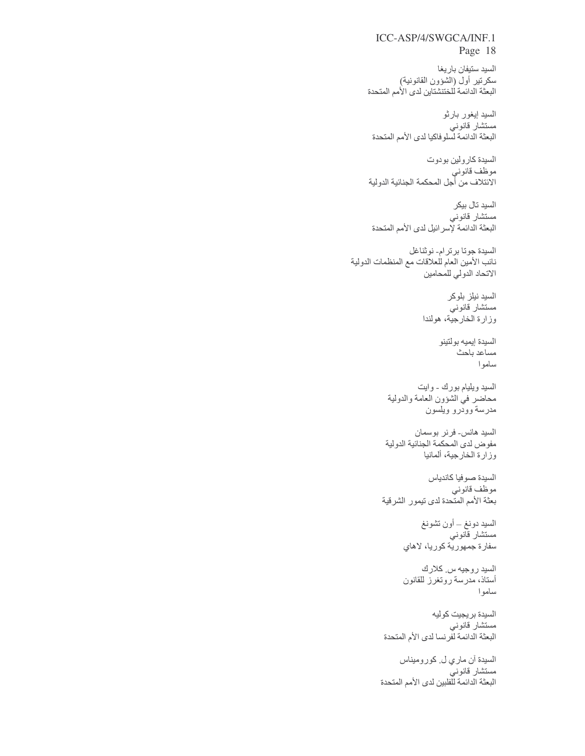السيد ستيفان باريغا سكرتير أول (الشؤون القانونية)<br>البعثة الدائمة للخنتشتاين لدي الأمم المتحدة

السيد إيغور بارثو .. . . . .<br>مستشار قانوني<br>البعثة الدائمة لسلوفاكيا لدى الأمم المتحدة

السيدة كارولين بودوت موظف قانوني<br>الانتلاف من أجل المحكمة الجنائية الدولية

السيد تال بيكر مستشار قانوني البعثة الدائمة لإسرائيل لدى الأمم المتحدة

السيدة جوتا برترام- نوثناغل نائب الأمين العام للعلاقات مع المنظمات الدولية الاتحاد الدولي للمحامين

> السيد نيلز بلوكر مستشار قانوني وزارة الخارجية، هولندا

> > السيدة إيميه بولتينو مساعد باحث سامو ا

السيد ويليام بورك - وايت محاضر في الشؤون العامة والدولية مدرسة وودرو ويلسون

السيد هانس- فرنر بوسمان<br>مفوض لدى المحكمة الجنائية الدولية وزارة الخارجية، ألمانيا

السيدة صوفيا كاندياس موظّف قانوني<br>بعثة الأمم المتحدة لدى تيمور الشرقية

> السيد دونغ ــ أون تشونغ مستشار قانوني سفارة جمهورية كوريا، لاهاي

> السيد روجيه س كلارك أستاذ، مدرسة روتغرز للقانون ساموا

السيدة بريجيت كوليه مستشار قانوني البعثة الدائمة لفرنسا لدى الأم المتحدة

السيدة أن ماري ل كوروميناس مستشار قانوني<br>البعثة الدائمة للفلبين لدى الأمم المتحدة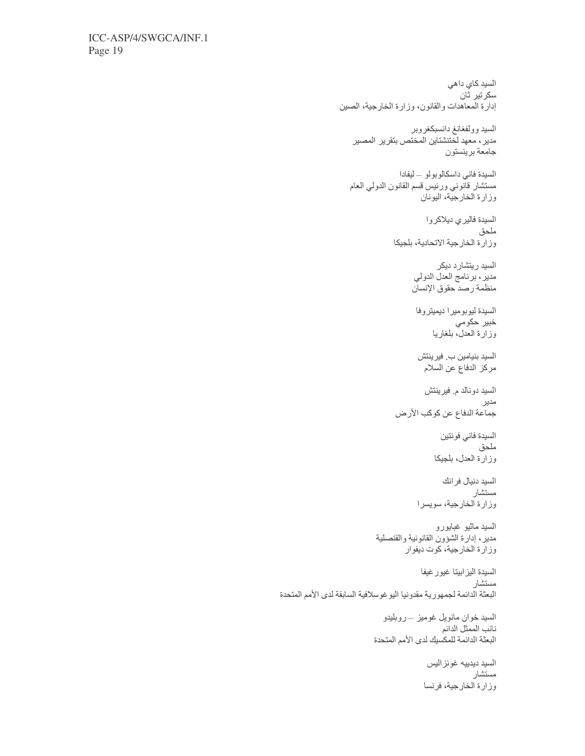```
السيد كاي داهي
                                                          سكر تير  ثان
                   إدارة المعاهدات والقانون، وزارة الخارجية، الصين
                                          السيد وولفغانغ دانسبكغروبر
                       مدير ، معهد لختنشتاين المختص بتقرير المصير
                                                     --<br>جامعة برينستون
                                      السيدة فاني داسكالوبولو ـ ليفادا
                      مستشار فآنوني ورنيس قسم القانون الدولي العام
                                              وزارة الخارجية، اليونان
                                              السيدة فاليري ديلاكروا
                                                                ملحق
                                     وزارة الخارجية الاتحادية، بلجيكا
                                                  السيد ريتشارد ديكر
                                           مدير، برنامج العدل الدولي
                                           منظمة رصد حقوق الإنسان
                                           السيدة ليوبوميرا ديميتروفا
                                                         خبير حكومي
                                                 وزارة العدلّ بلغاريا
                                            السيد بنيامين ب. فيرينتش
                                              مركز الدفاع عن السلام
                                              السيد دونالد م. فيرينتش
                                                                  مدير
                                     جماعة الدفاع عن كوكب الأرض
                                                    السيدة فاني فونتين
                                                                ملحق
                                                  وزارة العدل، بلجيكا
                                                     السيد دنيال فرانك
                                                              مستشار
                                            وزارة الخارجية، سويسرا
                               السيد ماثيو غبابورو<br>مدير، إدارة الشؤون القانونية والقنصلية<br>وزارة الخارجية، كوت ديفوار
                                              السيدة اليز ابيتا غيور غيفا
                                                               مستشار
البعثة الدائمة لجمهورية مقدونيا اليوغوسلافية السابقة لدى الأمم المتحدة
                                 السيد خوان مانويل غوميز ــ روبليدو
                                                     سب ـــر ب<br>نائب الممثل الدائم
                              البعثة الدائمة للمكسيك لدى الأمم المتحدة
                                               السيد ديدييه غونز اليس
                                                             مستشار
                                              وزارة الخارجية، فرنسا
```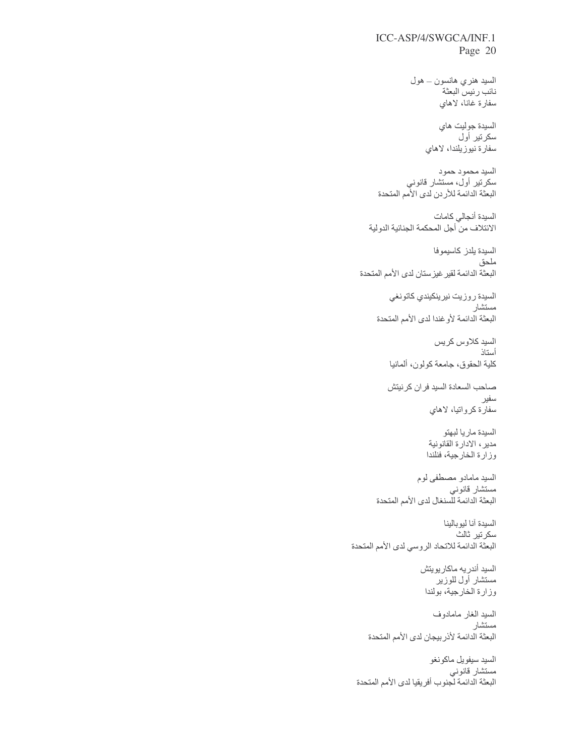> السيد هنري هانسون ــ هول نائب رئيس البعثة سفارة غانا، لاهاي

> > السيدة جوليت هاي سكرتير أول سفارة نيوزيلندا، لاهاى

السيد محمود حمود<br>سكرتير أول، مستشار قانوني<br>البعثة الدائمة للأردن لدى الأمم المتحدة

السيدة أنجالى كامات الائتلاف من أجل المحكمة الجنائية الدولية

السيدة يلدز كاسيموفا ملحق البعثة الدائمة لقير غيزستان لدى الأمم المتحدة

> السيدة روزيت نيرينكيندي كاتونغي مستشار البعثة الدائمة لأوغندا لدى الأمم المتحدة

> > السيد كلاوس كريس أستاذ كلية الحقوق، جامعة كولون، ألمانيا

صاحب السعادة السيد فران كرنيتش سفير سفارة كرواتيا، لاهاي

> السيدة ماريا لبهتو<br>مدير ، الادار ة القانونية وزارة الخارجية، فنلندا

السيد مامادو مصطفى لوم مستشار قانوني<br>البعثة الدائمة للسنغال لدى الأمم المتحدة

السيدة آنا ليوبالينا سكرتير ثالث البعثة الدائمة للاتحاد الروسي لدى الأمم المتحدة

> السيد أندريه ماكاريويتش مستشار أول للوزير وزارة الخارجية، بولندا

السيد الغار مامادوف ر<br>مستشار البعثة الدائمة لأذربيجان لدى الأمم المتحدة

السيد سيفويل ماكونغو ستشار قانوني البعثة الدائمة لجنوب أفريقيا لدى الأمم المتحدة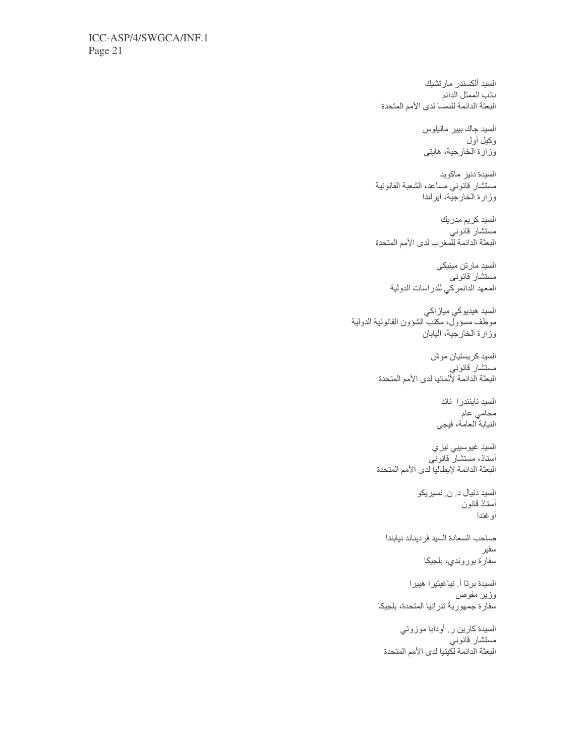السيد ألكسندر مارتشيك نائب الممثل الدائم<br>البعثة الدائمة للنمسا لدى الأمم المتحدة

> السيد جاك بيير ماتيلوس وكيل أول وزارة الخارجية، هايتي

السيدة دنيز ماكويد مستشار قانوني مساعد، الشعبة القانونية وزارة الخارجية، ايرلندا

السيد كريم مدريك س<del>ب</del> –ر. .<br>مستشار قانون*ي* البعثة الدائمة للمغرب لدى الأمم المتحدة

> السيد مارتن مينيكي مستشار قانوني<br>مستشار قانوني<br>المعهد الدانمركي للدراسات الدولية

السيد هيديوكي مياز اكي<br>موظف مسؤول، مكتب الشؤون القانونية الدولية وزارة الخارجية، اليابان

> السيد كريستيان موش مستشار قانوني<br>البعثة الدائمة لألمانيا لدى الأمم المتحدة

> > السيد ناينندر ا ناند ۔<br>محام*ی* عام النيابة العامة، فيجي

السيد غيوسيبي نيزي أستاذ، مستشار قانوني البعثة الدائمة لإيطاليا لدى الأمم المتحدة

> السيد دنيال د. ن. نسيريكو أستاذ قانون أوغندا

صباحب السعادة السيد فرديناند نيابندا سفير سفارة بوروندي، بلجيكا

السيدة برتا أ. نياغيتير ا هيير ا وزير مفوض سفارة جمهورية تنزانيا المتحدة، بلجيكا

السيدة كارين ر أودابا موزوتي مستشار قانوني البعثة الدائمة لكينيا لدى الأمم المتحدة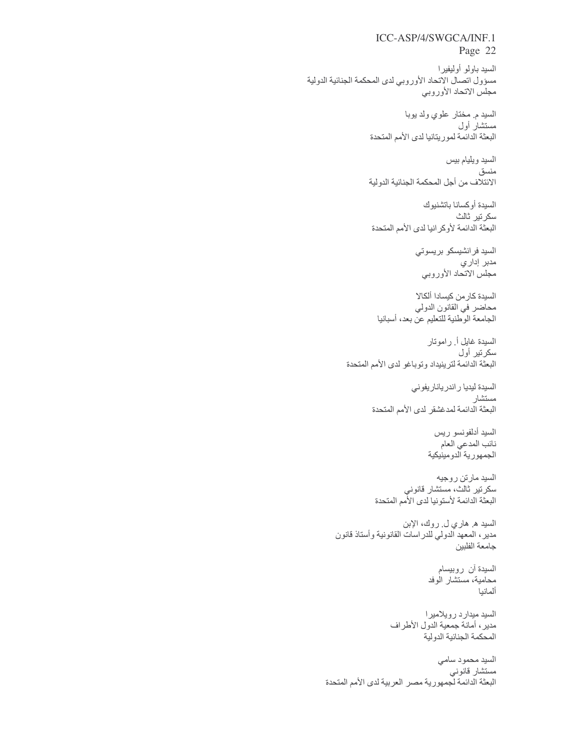السيد باولو أوليفيرا مسؤول اتصال الاتحاد الأوروبي لدى المحكمة الجنائية الدولية مجلس الاتحاد الأوروبي

> السيد م مختار علوي ولد يوبا مستشار أول البعثة الدائمة لموريتانيا لدى الأمم المتحدة

> السيد ويليام بيس منسق الائتلاف من أجل المحكمة الجنائية الدولية

السيدة أوكسانا باتشنيوك سکر تیر ٹالٹ البعثة الدائمة لأوكر انيا لدى الأمم المتحدة

> السيد فرانشيسكو بريسوتي مدبر إداري<br>مجلس الاتحاد الأوروبي

السيدة كار من كيسادا ألكالا محاضر في القانون الدولي الجامعة الوطنية للتعليم عن بعد، أسبانيا

السيدة غايل أ رامونار سكرتير أول البعثة الدائمة لترينيداد وتوباغو لدى الأمم المتحدة

> السيدة ليديا راندرياناريفوني مستشار البعثة الدائمة لمدغشقر لدى الأمم المتحدة

> > السيد أدلفونسو ريس اسب --- ر - ر - .<br>نائب المدعي العام -.<br>الجمهورية الدومينيكية

السيد مارتن روجيه سكرتير ثالث، مستشار قانوني<br>البعثة الدائمة لأستونيا لدى الأمم المتحدة

السيد ه هاري ل روك، الإبن مدير، المعهد الدولي للدراسات القانونية وأستاذ قانون جامعة الفلبين

> السيدة أن روبيسام محامية، مستشار الوفد ألمانيا

السيد ميدارد رويلاميرا مدير ، أمانة جمعية الدول الأطراف المحكمة الجنائية الدولية

السيد محمود سامي مستشار قانوني البعثة الدائمة لجمهورية مصر العربية لدى الأمم المتحدة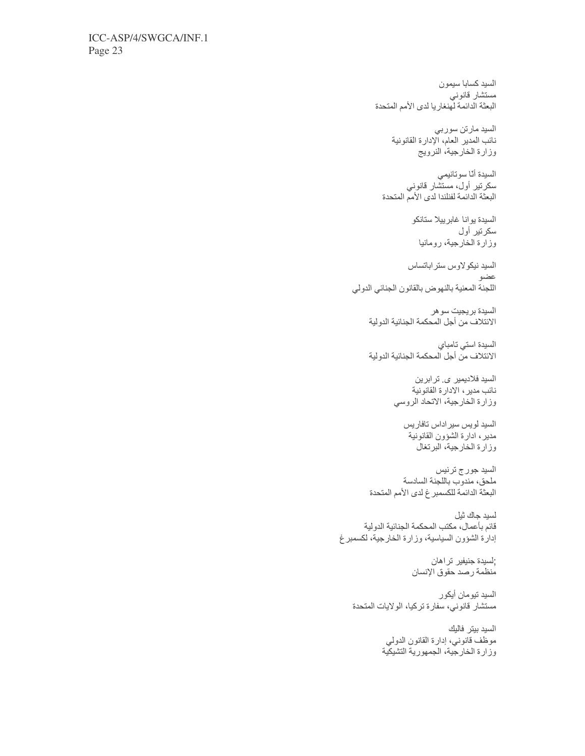السيد كسابا سيمون مستشار قانوني<br>البعثة الدائمة لهنغاريا لدى الأمم المتحدة

> السيد مارتن سوربي نائب المدير العام، الإدارة القانونية وزارة الخارجية، النرويج

السيدة أنّا سوتانيمي<br>سكر تير أول، مستشّار قانوني<br>البعثة الدائمة لفنلندا لدى الأمم المتحدة

السيدة يوانا غابرييلا ستانكو سكرتير أول وزارة الخارجية، رومانيا

السيد نيكولاوس ستراباتساس عضو اللجنة المعنية بالنهوض بالقانون الجنائي الدولي

السيدة بريجيت سوهر<br>الانتلاف من أجل المحكمة الجنائية الدولية

السيدة استى تامباي الائتلاف من أجل المحكمة الجنائية الدولية

> السید فلادیمیر ی. تر ابرین نائب مدير ، الادار ة القانونية وزارة الخارجية، الاتحاد الروسي

السيد لويس سير اداس تافاريس مدير، ادارة الشؤون القانونية وزارة الخارجية، البرتغال

السيد جورج ترنيس<br>ملحق، مندوب باللجنة السادسة البعثة الدائمة للكسمبر غ لدى الأمم المتحدة

لسيد جاك ثيل قائم بأعمال، مكتب المحكمة الجنائية الدولية إدارة الشؤون السياسية، وزارة الخارجية، لكسمبرغ

> ;لسيدة جنيفير تراهان منظمة رصد حقوق الإنسان

السيد تيومان أيكور مستشار قانوني، سفارة تركيا، الولايات المتحدة

> السيد بيتر فاليك موظف قانوني، إدارة القانون الدولي وزارة الخارجية، الجمهورية التشيكية